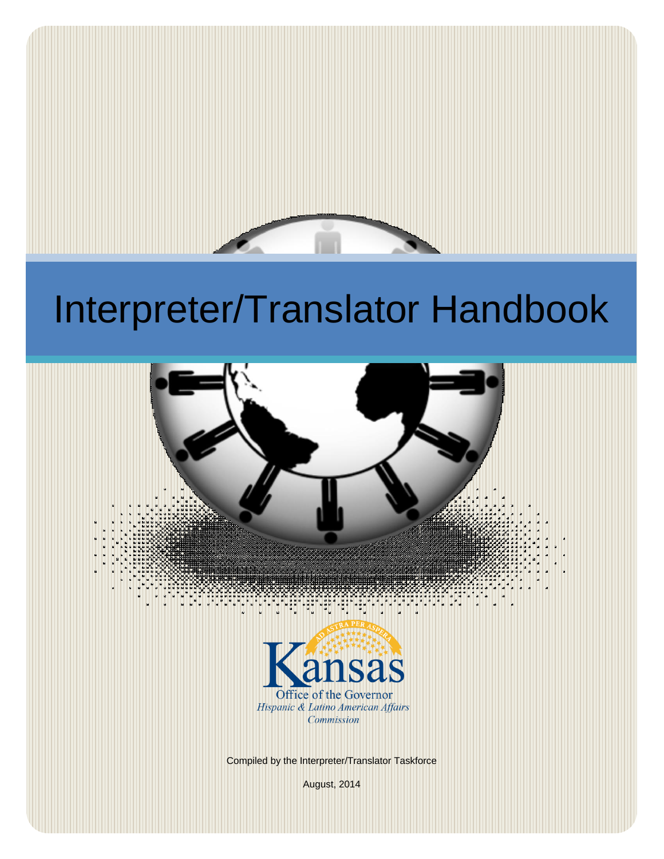

# Interpreter/Translator Handbook

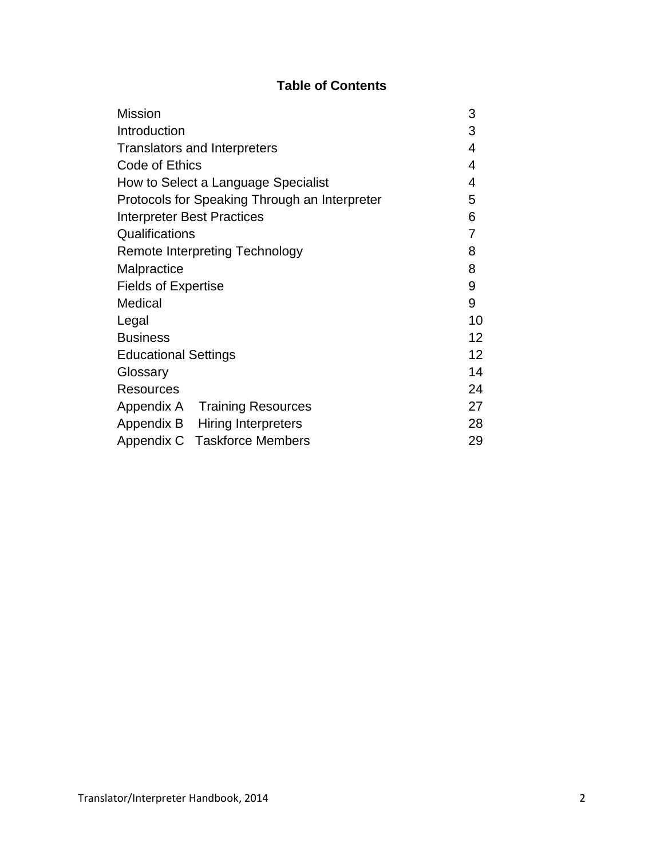# **Table of Contents**

| <b>Mission</b>                                | 3 |                 |
|-----------------------------------------------|---|-----------------|
| Introduction                                  |   |                 |
| <b>Translators and Interpreters</b>           | 4 |                 |
| Code of Ethics                                |   |                 |
| How to Select a Language Specialist           | 4 |                 |
| Protocols for Speaking Through an Interpreter |   |                 |
| <b>Interpreter Best Practices</b>             |   |                 |
| Qualifications                                |   | 7               |
| <b>Remote Interpreting Technology</b>         |   | 8               |
| Malpractice                                   |   | 8               |
| <b>Fields of Expertise</b>                    |   | 9               |
| Medical                                       |   | 9               |
| Legal                                         |   | 10              |
| <b>Business</b>                               |   | 12 <sub>2</sub> |
| <b>Educational Settings</b>                   |   | 12              |
| Glossary                                      |   | 14              |
| Resources                                     |   | 24              |
| Appendix A Training Resources                 |   | 27              |
| Appendix B Hiring Interpreters                |   | 28              |
| Appendix C Taskforce Members                  |   | 29              |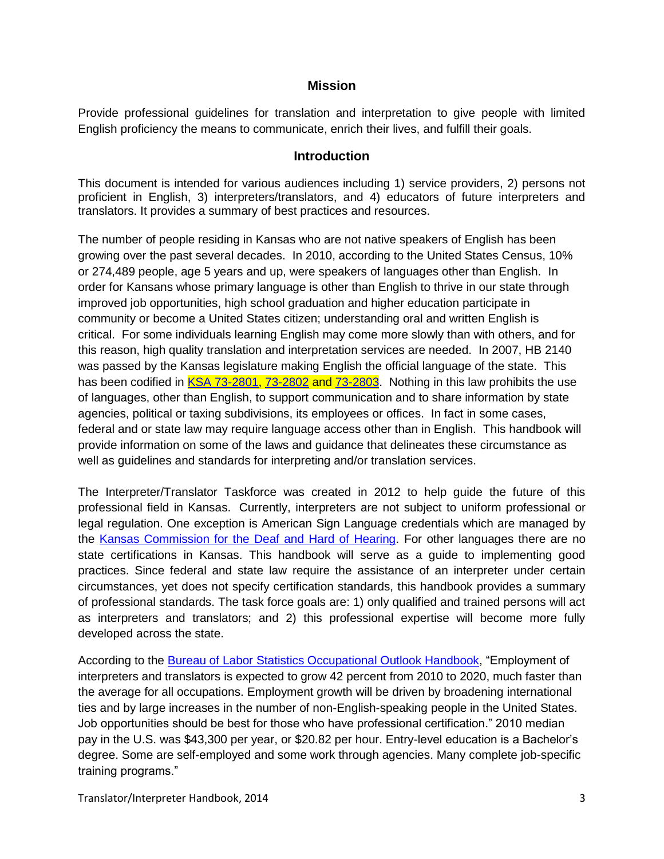#### **Mission**

Provide professional guidelines for translation and interpretation to give people with limited English proficiency the means to communicate, enrich their lives, and fulfill their goals.

#### **Introduction**

This document is intended for various audiences including 1) service providers, 2) persons not proficient in English, 3) interpreters/translators, and 4) educators of future interpreters and translators. It provides a summary of best practices and resources.

The number of people residing in Kansas who are not native speakers of English has been growing over the past several decades. In 2010, according to the United States Census, 10% or 274,489 people, age 5 years and up, were speakers of languages other than English. In order for Kansans whose primary language is other than English to thrive in our state through improved job opportunities, high school graduation and higher education participate in community or become a United States citizen; understanding oral and written English is critical. For some individuals learning English may come more slowly than with others, and for this reason, high quality translation and interpretation services are needed. In 2007, HB 2140 was passed by the Kansas legislature making English the official language of the state. This has been codified in [KSA 73-2801,](http://kansasstatutes.lesterama.org/Chapter_73/Article_28/73-2801.html) [73-2802](http://kansasstatutes.lesterama.org/Chapter_73/Article_28/73-2802.html) and [73-2803.](http://kansasstatutes.lesterama.org/Chapter_73/Article_28/73-2803.html) Nothing in this law prohibits the use of languages, other than English, to support communication and to share information by state agencies, political or taxing subdivisions, its employees or offices. In fact in some cases, federal and or state law may require language access other than in English. This handbook will provide information on some of the laws and guidance that delineates these circumstance as well as guidelines and standards for interpreting and/or translation services.

The Interpreter/Translator Taskforce was created in 2012 to help guide the future of this professional field in Kansas. Currently, interpreters are not subject to uniform professional or legal regulation. One exception is American Sign Language credentials which are managed by the [Kansas Commission for the Deaf and Hard of Hearing.](http://www.dcf.ks.gov/services/RS/Pages/KCDHH.aspx) For other languages there are no state certifications in Kansas. This handbook will serve as a guide to implementing good practices. Since federal and state law require the assistance of an interpreter under certain circumstances, yet does not specify certification standards, this handbook provides a summary of professional standards. The task force goals are: 1) only qualified and trained persons will act as interpreters and translators; and 2) this professional expertise will become more fully developed across the state.

According to the [Bureau of Labor Statistics Occupational Outlook Handbook,](http://www.bls.gov/ooh) "Employment of interpreters and translators is expected to grow 42 percent from 2010 to 2020, much faster than the average for all occupations. Employment growth will be driven by broadening international ties and by large increases in the number of non-English-speaking people in the United States. Job opportunities should be best for those who have professional certification." 2010 median pay in the U.S. was \$43,300 per year, or \$20.82 per hour. Entry-level education is a Bachelor's degree. Some are self-employed and some work through agencies. Many complete job-specific training programs."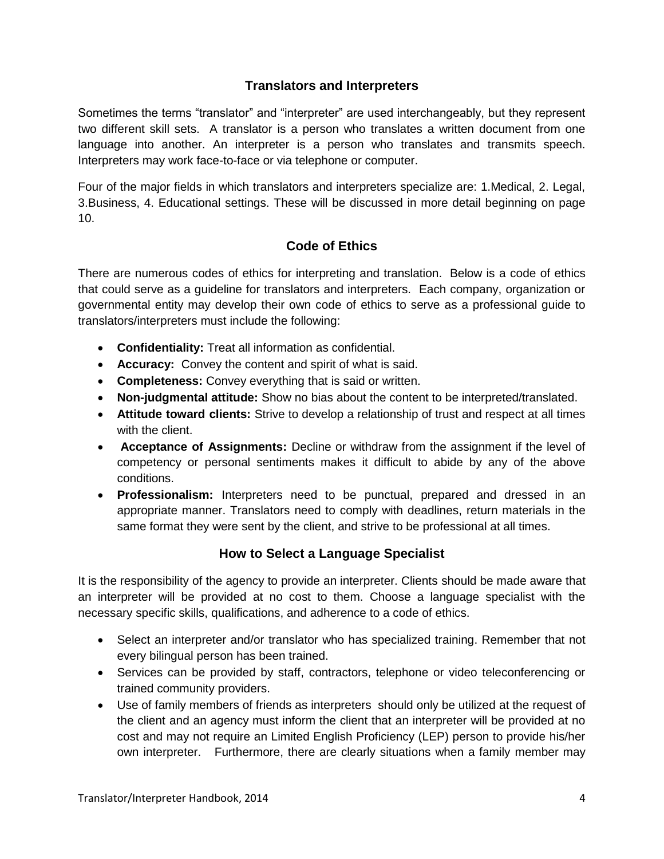# **Translators and Interpreters**

Sometimes the terms "translator" and "interpreter" are used interchangeably, but they represent two different skill sets. A translator is a person who translates a written document from one language into another. An interpreter is a person who translates and transmits speech. Interpreters may work face-to-face or via telephone or computer.

Four of the major fields in which translators and interpreters specialize are: 1.Medical, 2. Legal, 3.Business, 4. Educational settings. These will be discussed in more detail beginning on page 10.

# **Code of Ethics**

There are numerous codes of ethics for interpreting and translation. Below is a code of ethics that could serve as a guideline for translators and interpreters. Each company, organization or governmental entity may develop their own code of ethics to serve as a professional guide to translators/interpreters must include the following:

- **Confidentiality:** Treat all information as confidential.
- **Accuracy:** Convey the content and spirit of what is said.
- **Completeness:** Convey everything that is said or written.
- **Non-judgmental attitude:** Show no bias about the content to be interpreted/translated.
- **Attitude toward clients:** Strive to develop a relationship of trust and respect at all times with the client.
- **Acceptance of Assignments:** Decline or withdraw from the assignment if the level of competency or personal sentiments makes it difficult to abide by any of the above conditions.
- **Professionalism:** Interpreters need to be punctual, prepared and dressed in an appropriate manner. Translators need to comply with deadlines, return materials in the same format they were sent by the client, and strive to be professional at all times.

#### **How to Select a Language Specialist**

It is the responsibility of the agency to provide an interpreter. Clients should be made aware that an interpreter will be provided at no cost to them. Choose a language specialist with the necessary specific skills, qualifications, and adherence to a code of ethics.

- Select an interpreter and/or translator who has specialized training. Remember that not every bilingual person has been trained.
- Services can be provided by staff, contractors, telephone or video teleconferencing or trained community providers.
- Use of family members of friends as interpreters should only be utilized at the request of the client and an agency must inform the client that an interpreter will be provided at no cost and may not require an Limited English Proficiency (LEP) person to provide his/her own interpreter. Furthermore, there are clearly situations when a family member may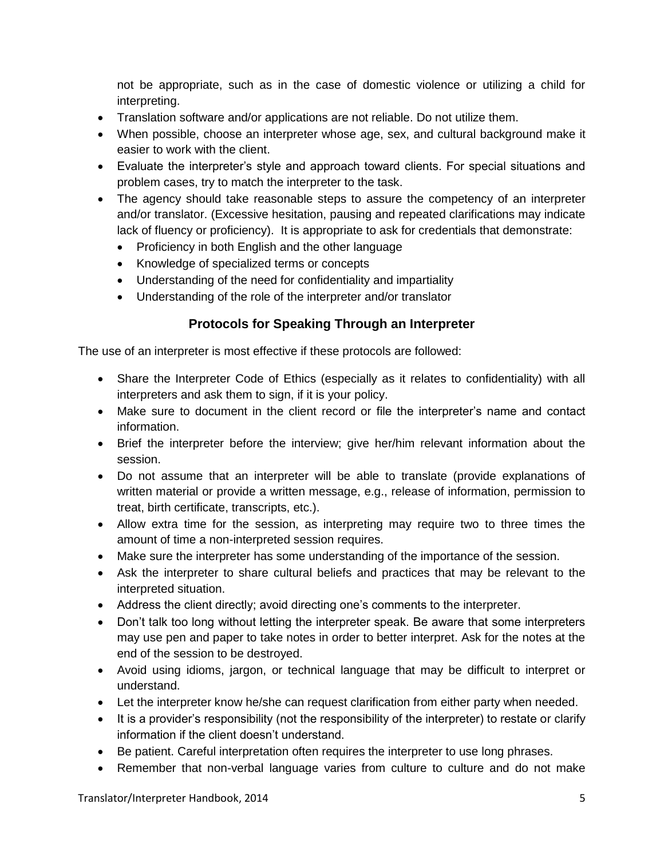not be appropriate, such as in the case of domestic violence or utilizing a child for interpreting.

- Translation software and/or applications are not reliable. Do not utilize them.
- When possible, choose an interpreter whose age, sex, and cultural background make it easier to work with the client.
- Evaluate the interpreter's style and approach toward clients. For special situations and problem cases, try to match the interpreter to the task.
- The agency should take reasonable steps to assure the competency of an interpreter and/or translator. (Excessive hesitation, pausing and repeated clarifications may indicate lack of fluency or proficiency). It is appropriate to ask for credentials that demonstrate:
	- Proficiency in both English and the other language
	- Knowledge of specialized terms or concepts
	- Understanding of the need for confidentiality and impartiality
	- Understanding of the role of the interpreter and/or translator

# **Protocols for Speaking Through an Interpreter**

The use of an interpreter is most effective if these protocols are followed:

- Share the Interpreter Code of Ethics (especially as it relates to confidentiality) with all interpreters and ask them to sign, if it is your policy.
- Make sure to document in the client record or file the interpreter's name and contact information.
- Brief the interpreter before the interview; give her/him relevant information about the session.
- Do not assume that an interpreter will be able to translate (provide explanations of written material or provide a written message, e.g., release of information, permission to treat, birth certificate, transcripts, etc.).
- Allow extra time for the session, as interpreting may require two to three times the amount of time a non-interpreted session requires.
- Make sure the interpreter has some understanding of the importance of the session.
- Ask the interpreter to share cultural beliefs and practices that may be relevant to the interpreted situation.
- Address the client directly; avoid directing one's comments to the interpreter.
- Don't talk too long without letting the interpreter speak. Be aware that some interpreters may use pen and paper to take notes in order to better interpret. Ask for the notes at the end of the session to be destroyed.
- Avoid using idioms, jargon, or technical language that may be difficult to interpret or understand.
- Let the interpreter know he/she can request clarification from either party when needed.
- It is a provider's responsibility (not the responsibility of the interpreter) to restate or clarify information if the client doesn't understand.
- Be patient. Careful interpretation often requires the interpreter to use long phrases.
- Remember that non-verbal language varies from culture to culture and do not make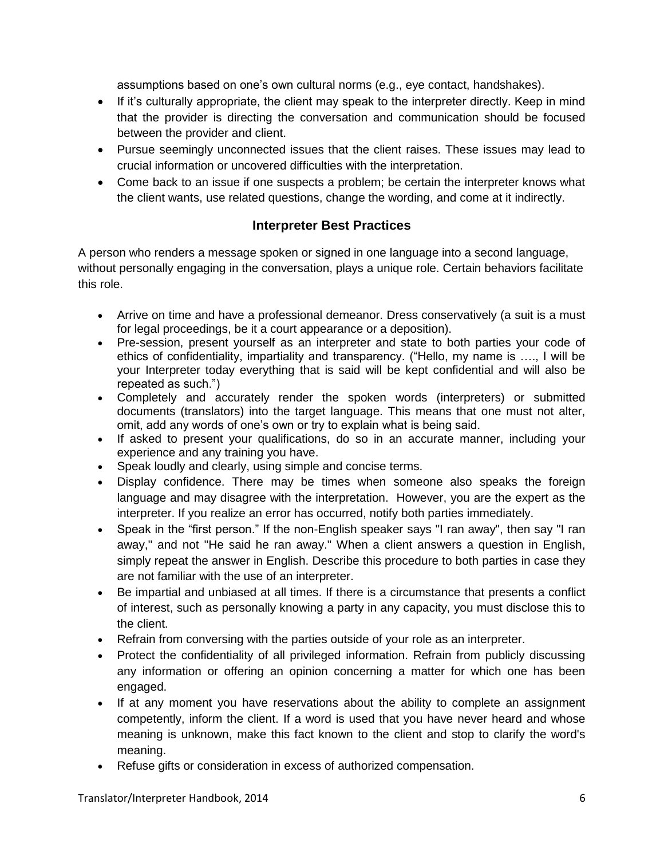assumptions based on one's own cultural norms (e.g., eye contact, handshakes).

- If it's culturally appropriate, the client may speak to the interpreter directly. Keep in mind that the provider is directing the conversation and communication should be focused between the provider and client.
- Pursue seemingly unconnected issues that the client raises. These issues may lead to crucial information or uncovered difficulties with the interpretation.
- Come back to an issue if one suspects a problem; be certain the interpreter knows what the client wants, use related questions, change the wording, and come at it indirectly.

# **Interpreter Best Practices**

A person who renders a message spoken or signed in one language into a second language, without personally engaging in the conversation, plays a unique role. Certain behaviors facilitate this role.

- Arrive on time and have a professional demeanor. Dress conservatively (a suit is a must for legal proceedings, be it a court appearance or a deposition).
- Pre-session, present yourself as an interpreter and state to both parties your code of ethics of confidentiality, impartiality and transparency. ("Hello, my name is …., I will be your Interpreter today everything that is said will be kept confidential and will also be repeated as such.")
- Completely and accurately render the spoken words (interpreters) or submitted documents (translators) into the target language. This means that one must not alter, omit, add any words of one's own or try to explain what is being said.
- If asked to present your qualifications, do so in an accurate manner, including your experience and any training you have.
- Speak loudly and clearly, using simple and concise terms.
- Display confidence. There may be times when someone also speaks the foreign language and may disagree with the interpretation. However, you are the expert as the interpreter. If you realize an error has occurred, notify both parties immediately.
- Speak in the "first person." If the non-English speaker says "I ran away", then say "I ran away," and not ''He said he ran away." When a client answers a question in English, simply repeat the answer in English. Describe this procedure to both parties in case they are not familiar with the use of an interpreter.
- Be impartial and unbiased at all times. If there is a circumstance that presents a conflict of interest, such as personally knowing a party in any capacity, you must disclose this to the client.
- Refrain from conversing with the parties outside of your role as an interpreter.
- Protect the confidentiality of all privileged information. Refrain from publicly discussing any information or offering an opinion concerning a matter for which one has been engaged.
- If at any moment you have reservations about the ability to complete an assignment competently, inform the client. If a word is used that you have never heard and whose meaning is unknown, make this fact known to the client and stop to clarify the word's meaning.
- Refuse gifts or consideration in excess of authorized compensation.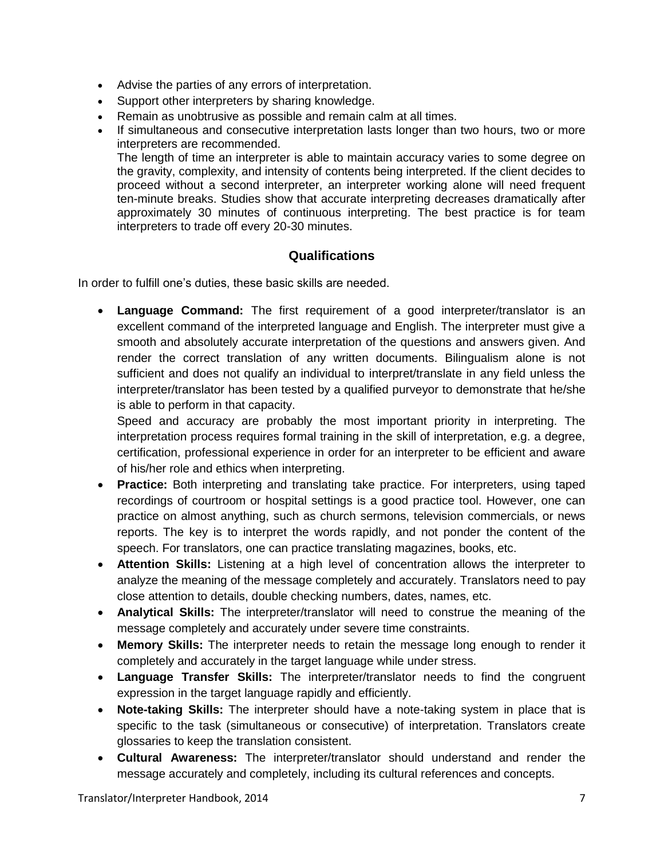- Advise the parties of any errors of interpretation.
- Support other interpreters by sharing knowledge.
- Remain as unobtrusive as possible and remain calm at all times.
- If simultaneous and consecutive interpretation lasts longer than two hours, two or more interpreters are recommended.

The length of time an interpreter is able to maintain accuracy varies to some degree on the gravity, complexity, and intensity of contents being interpreted. If the client decides to proceed without a second interpreter, an interpreter working alone will need frequent ten-minute breaks. Studies show that accurate interpreting decreases dramatically after approximately 30 minutes of continuous interpreting. The best practice is for team interpreters to trade off every 20-30 minutes.

#### **Qualifications**

In order to fulfill one's duties, these basic skills are needed.

 **Language Command:** The first requirement of a good interpreter/translator is an excellent command of the interpreted language and English. The interpreter must give a smooth and absolutely accurate interpretation of the questions and answers given. And render the correct translation of any written documents. Bilingualism alone is not sufficient and does not qualify an individual to interpret/translate in any field unless the interpreter/translator has been tested by a qualified purveyor to demonstrate that he/she is able to perform in that capacity.

Speed and accuracy are probably the most important priority in interpreting. The interpretation process requires formal training in the skill of interpretation, e.g. a degree, certification, professional experience in order for an interpreter to be efficient and aware of his/her role and ethics when interpreting.

- **Practice:** Both interpreting and translating take practice. For interpreters, using taped recordings of courtroom or hospital settings is a good practice tool. However, one can practice on almost anything, such as church sermons, television commercials, or news reports. The key is to interpret the words rapidly, and not ponder the content of the speech. For translators, one can practice translating magazines, books, etc.
- **Attention Skills:** Listening at a high level of concentration allows the interpreter to analyze the meaning of the message completely and accurately. Translators need to pay close attention to details, double checking numbers, dates, names, etc.
- **Analytical Skills:** The interpreter/translator will need to construe the meaning of the message completely and accurately under severe time constraints.
- **Memory Skills:** The interpreter needs to retain the message long enough to render it completely and accurately in the target language while under stress.
- **Language Transfer Skills:** The interpreter/translator needs to find the congruent expression in the target language rapidly and efficiently.
- **Note-taking Skills:** The interpreter should have a note-taking system in place that is specific to the task (simultaneous or consecutive) of interpretation. Translators create glossaries to keep the translation consistent.
- **Cultural Awareness:** The interpreter/translator should understand and render the message accurately and completely, including its cultural references and concepts.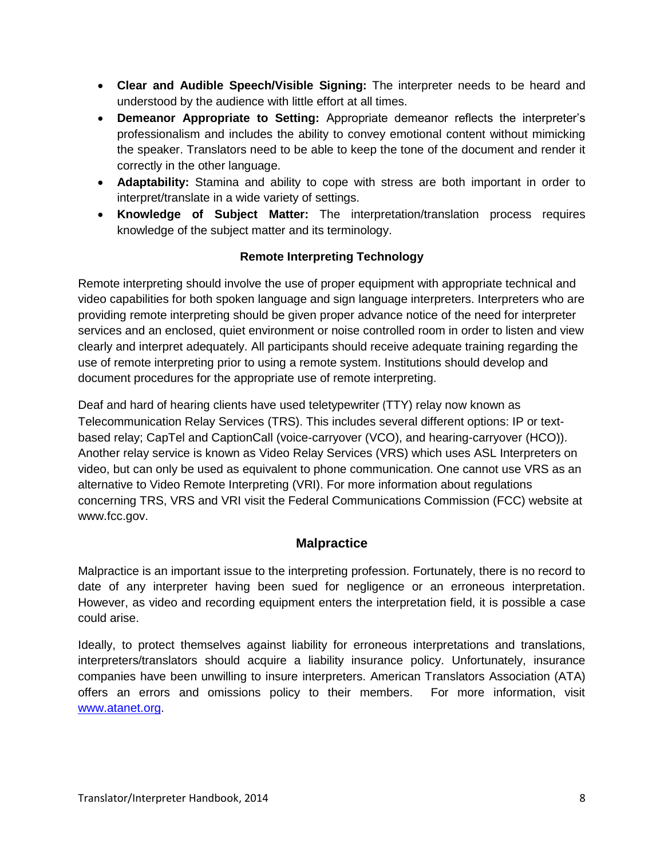- **Clear and Audible Speech/Visible Signing:** The interpreter needs to be heard and understood by the audience with little effort at all times.
- **Demeanor Appropriate to Setting:** Appropriate demeanor reflects the interpreter's professionalism and includes the ability to convey emotional content without mimicking the speaker. Translators need to be able to keep the tone of the document and render it correctly in the other language.
- **Adaptability:** Stamina and ability to cope with stress are both important in order to interpret/translate in a wide variety of settings.
- **Knowledge of Subject Matter:** The interpretation/translation process requires knowledge of the subject matter and its terminology.

# **Remote Interpreting Technology**

Remote interpreting should involve the use of proper equipment with appropriate technical and video capabilities for both spoken language and sign language interpreters. Interpreters who are providing remote interpreting should be given proper advance notice of the need for interpreter services and an enclosed, quiet environment or noise controlled room in order to listen and view clearly and interpret adequately. All participants should receive adequate training regarding the use of remote interpreting prior to using a remote system. Institutions should develop and document procedures for the appropriate use of remote interpreting.

Deaf and hard of hearing clients have used teletypewriter (TTY) relay now known as Telecommunication Relay Services (TRS). This includes several different options: IP or textbased relay; CapTel and CaptionCall (voice-carryover (VCO), and hearing-carryover (HCO)). Another relay service is known as Video Relay Services (VRS) which uses ASL Interpreters on video, but can only be used as equivalent to phone communication. One cannot use VRS as an alternative to Video Remote Interpreting (VRI). For more information about regulations concerning TRS, VRS and VRI visit the Federal Communications Commission (FCC) website at www.fcc.gov.

#### **Malpractice**

Malpractice is an important issue to the interpreting profession. Fortunately, there is no record to date of any interpreter having been sued for negligence or an erroneous interpretation. However, as video and recording equipment enters the interpretation field, it is possible a case could arise.

Ideally, to protect themselves against liability for erroneous interpretations and translations, interpreters/translators should acquire a liability insurance policy. Unfortunately, insurance companies have been unwilling to insure interpreters. American Translators Association (ATA) offers an errors and omissions policy to their members. For more information, visit [www.atanet.org.](http://www.atanet.org/)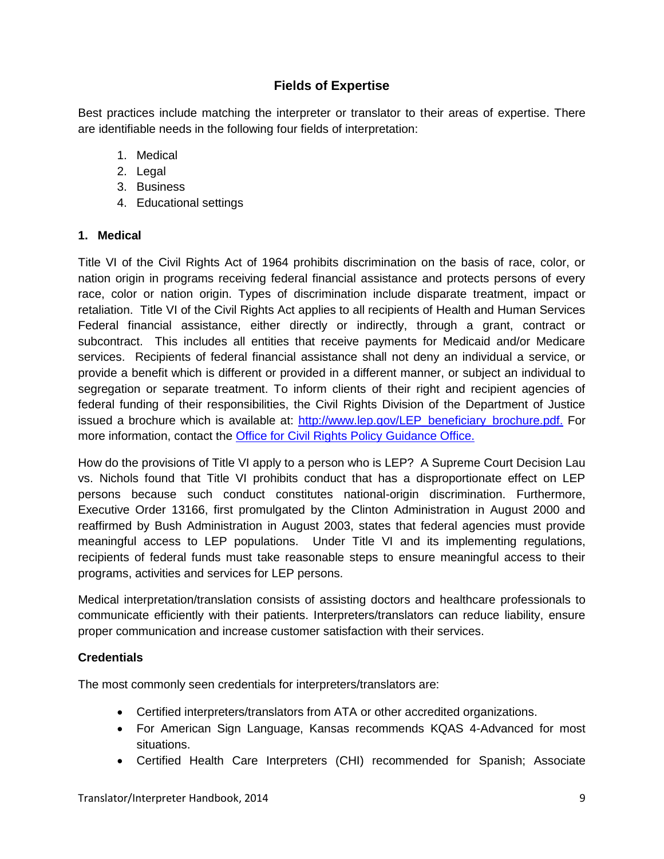# **Fields of Expertise**

Best practices include matching the interpreter or translator to their areas of expertise. There are identifiable needs in the following four fields of interpretation:

- 1. Medical
- 2. Legal
- 3. Business
- 4. Educational settings

#### **1. Medical**

Title VI of the Civil Rights Act of 1964 prohibits discrimination on the basis of race, color, or nation origin in programs receiving federal financial assistance and protects persons of every race, color or nation origin. Types of discrimination include disparate treatment, impact or retaliation. Title VI of the Civil Rights Act applies to all recipients of Health and Human Services Federal financial assistance, either directly or indirectly, through a grant, contract or subcontract. This includes all entities that receive payments for Medicaid and/or Medicare services. Recipients of federal financial assistance shall not deny an individual a service, or provide a benefit which is different or provided in a different manner, or subject an individual to segregation or separate treatment. To inform clients of their right and recipient agencies of federal funding of their responsibilities, the Civil Rights Division of the Department of Justice issued a brochure which is available at: [http://www.lep.gov/LEP\\_beneficiary\\_brochure.pdf.](http://www.lep.gov/LEP_beneficiary_brochure.pdf) For more information, contact the [Office for Civil Rights Policy](http://www.gpo.gov/fdsys/granule/FR-2002-02-01/02-2467/content-detail.html) Guidance Office.

How do the provisions of Title VI apply to a person who is LEP? A Supreme Court Decision Lau vs. Nichols found that Title VI prohibits conduct that has a disproportionate effect on LEP persons because such conduct constitutes national-origin discrimination. Furthermore, Executive Order 13166, first promulgated by the Clinton Administration in August 2000 and reaffirmed by Bush Administration in August 2003, states that federal agencies must provide meaningful access to LEP populations. Under Title VI and its implementing regulations, recipients of federal funds must take reasonable steps to ensure meaningful access to their programs, activities and services for LEP persons.

Medical interpretation/translation consists of assisting doctors and healthcare professionals to communicate efficiently with their patients. Interpreters/translators can reduce liability, ensure proper communication and increase customer satisfaction with their services.

#### **Credentials**

The most commonly seen credentials for interpreters/translators are:

- Certified interpreters/translators from ATA or other accredited organizations.
- For American Sign Language, Kansas recommends KQAS 4-Advanced for most situations.
- Certified Health Care Interpreters (CHI) recommended for Spanish; Associate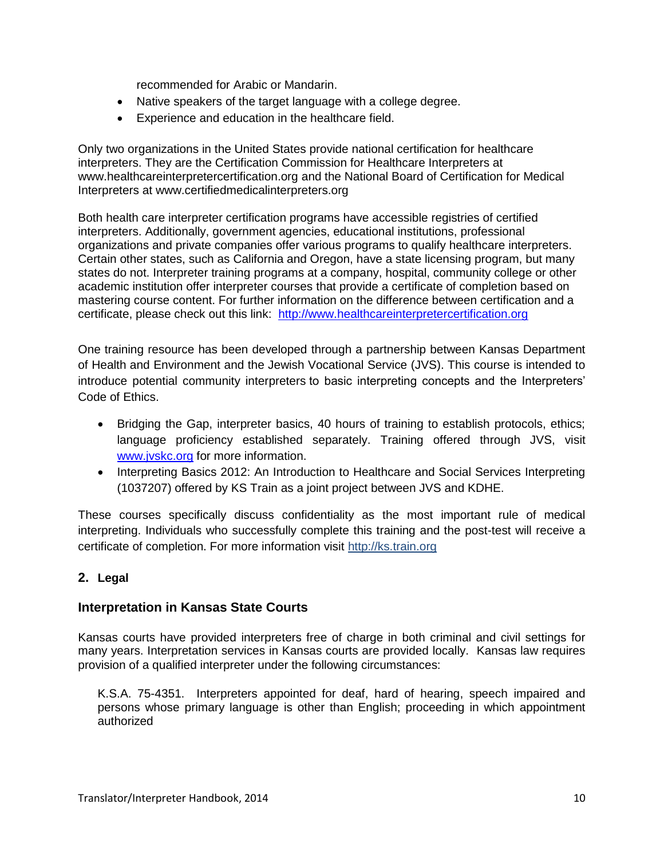recommended for Arabic or Mandarin.

- Native speakers of the target language with a college degree.
- Experience and education in the healthcare field.

Only two organizations in the United States provide national certification for healthcare interpreters. They are the Certification Commission for Healthcare Interpreters at [www.healthcareinterpretercertification.org](http://www.healthcareinterpretercertification.org/) and the National Board of Certification for Medical Interpreters at [www.certifiedmedicalinterpreters.org](http://www.certifiedmedicalinterpreters.org/) 

Both health care interpreter certification programs have accessible registries of certified interpreters. Additionally, government agencies, educational institutions, professional organizations and private companies offer various programs to qualify healthcare interpreters. Certain other states, such as California and Oregon, have a state licensing program, but many states do not. Interpreter training programs at a company, hospital, community college or other academic institution offer interpreter courses that provide a certificate of completion based on mastering course content. For further information on the difference between certification and a certificate, please check out this link: [http://www.healthcareinterpretercertification.org](http://www.healthcareinterpretercertification.org/)

One training resource has been developed through a partnership between Kansas Department of Health and Environment and the Jewish Vocational Service (JVS). This course is intended to introduce potential community interpreters to basic interpreting concepts and the Interpreters' Code of Ethics.

- Bridging the Gap, interpreter basics, 40 hours of training to establish protocols, ethics; language proficiency established separately. Training offered through JVS, visit [www.jvskc.org](http://www.jvskc.org/) for more information.
- Interpreting Basics 2012: An Introduction to Healthcare and Social Services Interpreting (1037207) offered by KS Train as a joint project between JVS and KDHE.

These courses specifically discuss confidentiality as the most important rule of medical interpreting. Individuals who successfully complete this training and the post-test will receive a certificate of completion. For more information visit http://ks.train.org

#### **2. Legal**

#### **Interpretation in Kansas State Courts**

Kansas courts have provided interpreters free of charge in both criminal and civil settings for many years. Interpretation services in Kansas courts are provided locally. Kansas law requires provision of a qualified interpreter under the following circumstances:

K.S.A. 75-4351. Interpreters appointed for deaf, hard of hearing, speech impaired and persons whose primary language is other than English; proceeding in which appointment authorized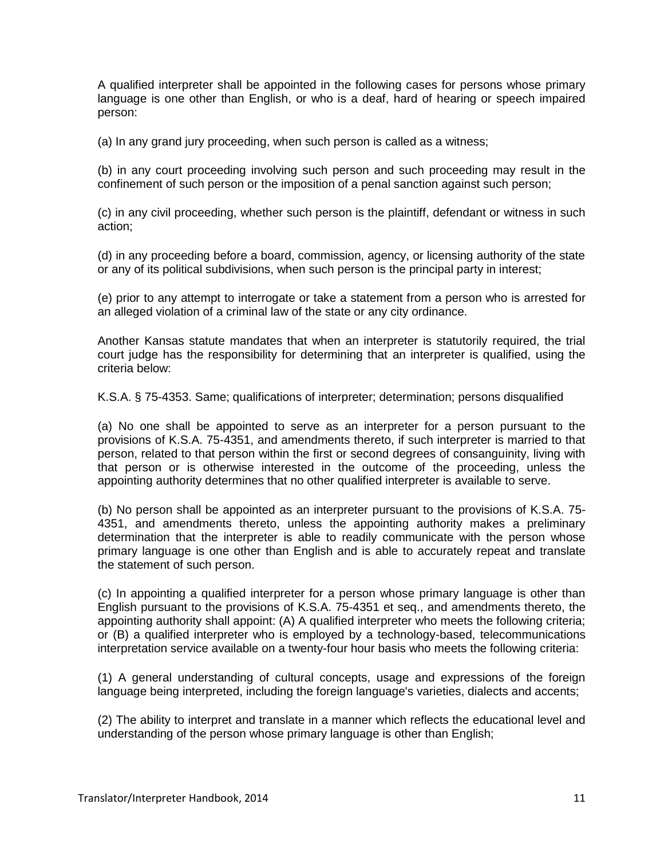A qualified interpreter shall be appointed in the following cases for persons whose primary language is one other than English, or who is a deaf, hard of hearing or speech impaired person:

(a) In any grand jury proceeding, when such person is called as a witness;

(b) in any court proceeding involving such person and such proceeding may result in the confinement of such person or the imposition of a penal sanction against such person;

(c) in any civil proceeding, whether such person is the plaintiff, defendant or witness in such action;

(d) in any proceeding before a board, commission, agency, or licensing authority of the state or any of its political subdivisions, when such person is the principal party in interest;

(e) prior to any attempt to interrogate or take a statement from a person who is arrested for an alleged violation of a criminal law of the state or any city ordinance.

Another Kansas statute mandates that when an interpreter is statutorily required, the trial court judge has the responsibility for determining that an interpreter is qualified, using the criteria below:

K.S.A. § 75-4353. Same; qualifications of interpreter; determination; persons disqualified

(a) No one shall be appointed to serve as an interpreter for a person pursuant to the provisions of K.S.A. 75-4351, and amendments thereto, if such interpreter is married to that person, related to that person within the first or second degrees of consanguinity, living with that person or is otherwise interested in the outcome of the proceeding, unless the appointing authority determines that no other qualified interpreter is available to serve.

(b) No person shall be appointed as an interpreter pursuant to the provisions of K.S.A. 75- 4351, and amendments thereto, unless the appointing authority makes a preliminary determination that the interpreter is able to readily communicate with the person whose primary language is one other than English and is able to accurately repeat and translate the statement of such person.

(c) In appointing a qualified interpreter for a person whose primary language is other than English pursuant to the provisions of K.S.A. 75-4351 et seq., and amendments thereto, the appointing authority shall appoint: (A) A qualified interpreter who meets the following criteria; or (B) a qualified interpreter who is employed by a technology-based, telecommunications interpretation service available on a twenty-four hour basis who meets the following criteria:

(1) A general understanding of cultural concepts, usage and expressions of the foreign language being interpreted, including the foreign language's varieties, dialects and accents;

(2) The ability to interpret and translate in a manner which reflects the educational level and understanding of the person whose primary language is other than English;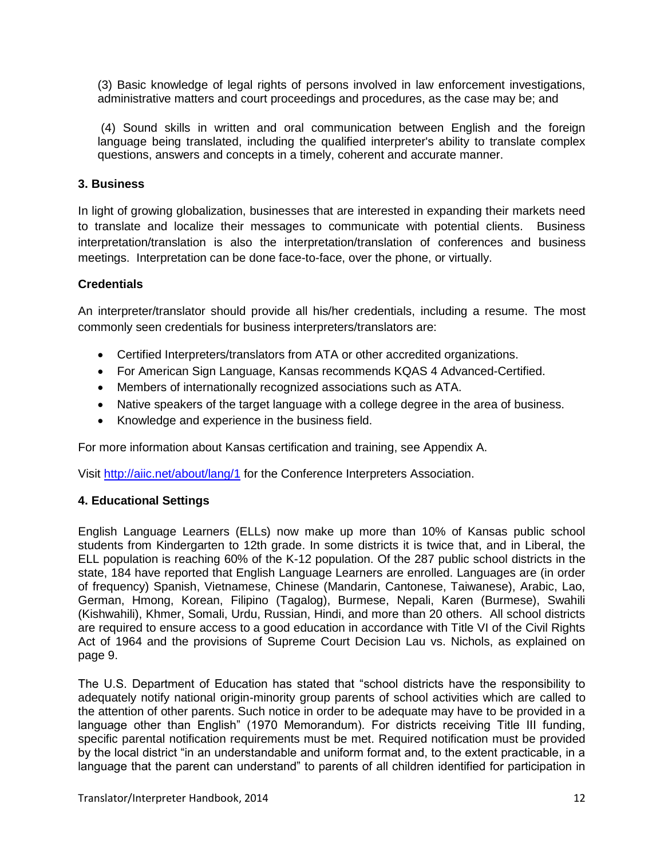(3) Basic knowledge of legal rights of persons involved in law enforcement investigations, administrative matters and court proceedings and procedures, as the case may be; and

(4) Sound skills in written and oral communication between English and the foreign language being translated, including the qualified interpreter's ability to translate complex questions, answers and concepts in a timely, coherent and accurate manner.

#### **3. Business**

In light of growing globalization, businesses that are interested in expanding their markets need to translate and localize their messages to communicate with potential clients. Business interpretation/translation is also the interpretation/translation of conferences and business meetings. Interpretation can be done face-to-face, over the phone, or virtually.

#### **Credentials**

An interpreter/translator should provide all his/her credentials, including a resume. The most commonly seen credentials for business interpreters/translators are:

- Certified Interpreters/translators from ATA or other accredited organizations.
- For American Sign Language, Kansas recommends KQAS 4 Advanced-Certified.
- Members of internationally recognized associations such as ATA.
- Native speakers of the target language with a college degree in the area of business.
- Knowledge and experience in the business field.

For more information about Kansas certification and training, see Appendix A.

Visit<http://aiic.net/about/lang/1> for the Conference Interpreters Association.

#### **4. Educational Settings**

English Language Learners (ELLs) now make up more than 10% of Kansas public school students from Kindergarten to 12th grade. In some districts it is twice that, and in Liberal, the ELL population is reaching 60% of the K-12 population. Of the 287 public school districts in the state, 184 have reported that English Language Learners are enrolled. Languages are (in order of frequency) Spanish, Vietnamese, Chinese (Mandarin, Cantonese, Taiwanese), Arabic, Lao, German, Hmong, Korean, Filipino (Tagalog), Burmese, Nepali, Karen (Burmese), Swahili (Kishwahili), Khmer, Somali, Urdu, Russian, Hindi, and more than 20 others. All school districts are required to ensure access to a good education in accordance with Title VI of the Civil Rights Act of 1964 and the provisions of Supreme Court Decision Lau vs. Nichols, as explained on page 9.

The U.S. Department of Education has stated that "school districts have the responsibility to adequately notify national origin-minority group parents of school activities which are called to the attention of other parents. Such notice in order to be adequate may have to be provided in a language other than English" (1970 Memorandum). For districts receiving Title III funding, specific parental notification requirements must be met. Required notification must be provided by the local district "in an understandable and uniform format and, to the extent practicable, in a language that the parent can understand" to parents of all children identified for participation in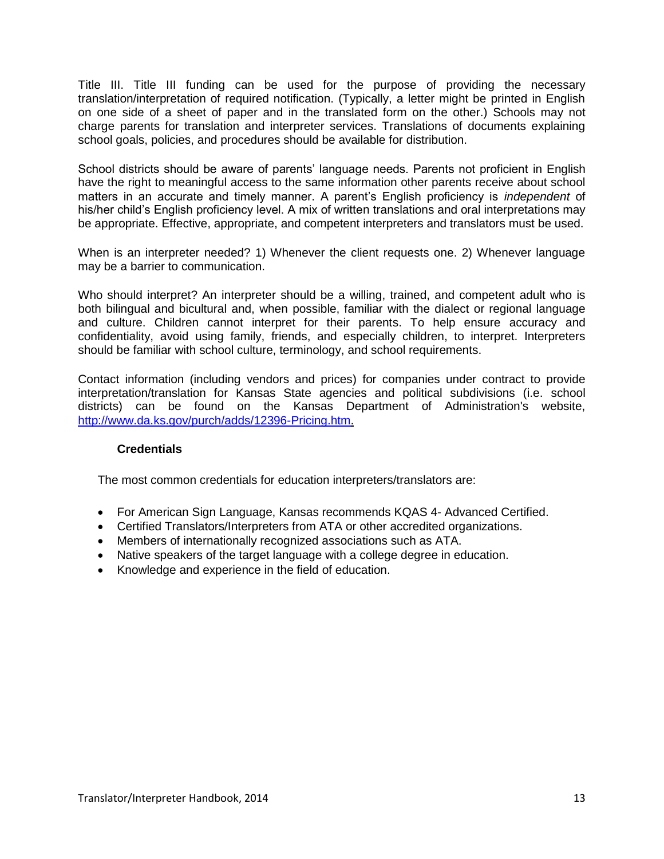Title III. Title III funding can be used for the purpose of providing the necessary translation/interpretation of required notification. (Typically, a letter might be printed in English on one side of a sheet of paper and in the translated form on the other.) Schools may not charge parents for translation and interpreter services. Translations of documents explaining school goals, policies, and procedures should be available for distribution.

School districts should be aware of parents' language needs. Parents not proficient in English have the right to meaningful access to the same information other parents receive about school matters in an accurate and timely manner. A parent's English proficiency is *independent* of his/her child's English proficiency level. A mix of written translations and oral interpretations may be appropriate. Effective, appropriate, and competent interpreters and translators must be used.

When is an interpreter needed? 1) Whenever the client requests one. 2) Whenever language may be a barrier to communication.

Who should interpret? An interpreter should be a willing, trained, and competent adult who is both bilingual and bicultural and, when possible, familiar with the dialect or regional language and culture. Children cannot interpret for their parents. To help ensure accuracy and confidentiality, avoid using family, friends, and especially children, to interpret. Interpreters should be familiar with school culture, terminology, and school requirements.

Contact information (including vendors and prices) for companies under contract to provide interpretation/translation for Kansas State agencies and political subdivisions (i.e. school districts) can be found on the Kansas Department of Administration's website, [http://www.da.ks.gov/purch/adds/12396-Pricing.htm.](http://www.da.ks.gov/purch/adds/12396-Pricing.htm)

#### **Credentials**

The most common credentials for education interpreters/translators are:

- For American Sign Language, Kansas recommends KQAS 4- Advanced Certified.
- Certified Translators/Interpreters from ATA or other accredited organizations.
- Members of internationally recognized associations such as ATA.
- Native speakers of the target language with a college degree in education.
- Knowledge and experience in the field of education.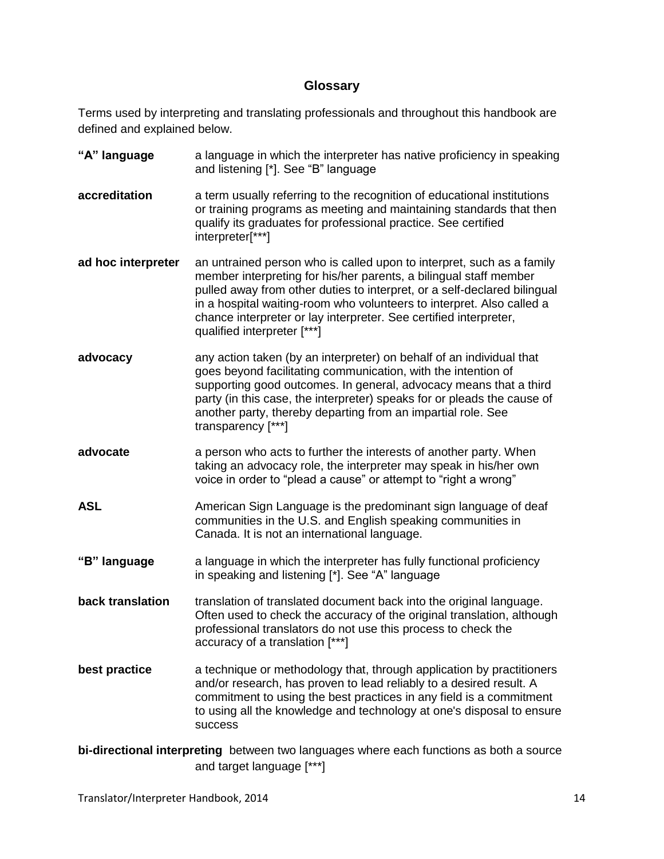#### **Glossary**

Terms used by interpreting and translating professionals and throughout this handbook are defined and explained below.

**"A" language** a language in which the interpreter has native proficiency in speaking and listening [\*]. See "B" language **accreditation** a term usually referring to the recognition of educational institutions or training programs as meeting and maintaining standards that then qualify its graduates for professional practice. See certified interpreter[\*\*\*] **ad hoc interpreter** an untrained person who is called upon to interpret, such as a family member interpreting for his/her parents, a bilingual staff member pulled away from other duties to interpret, or a self-declared bilingual in a hospital waiting-room who volunteers to interpret. Also called a chance interpreter or lay interpreter. See certified interpreter, qualified interpreter [\*\*\*] **advocacy any action taken (by an interpreter) on behalf of an individual that** goes beyond facilitating communication, with the intention of supporting good outcomes. In general, advocacy means that a third party (in this case, the interpreter) speaks for or pleads the cause of another party, thereby departing from an impartial role. See transparency [\*\*\*] **advocate** a person who acts to further the interests of another party. When taking an advocacy role, the interpreter may speak in his/her own voice in order to "plead a cause" or attempt to "right a wrong" **ASL** American Sign Language is the predominant sign language of deaf communities in the U.S. and English speaking communities in Canada. It is not an international language. **"B" language** a language in which the interpreter has fully functional proficiency in speaking and listening [\*]. See "A" language **back translation** translation of translated document back into the original language. Often used to check the accuracy of the original translation, although professional translators do not use this process to check the accuracy of a translation [\*\*\*] **best practice** a technique or methodology that, through application by practitioners and/or research, has proven to lead reliably to a desired result. A commitment to using the best practices in any field is a commitment to using all the knowledge and technology at one's disposal to ensure success

**bi-directional interpreting** between two languages where each functions as both a source and target language [\*\*\*]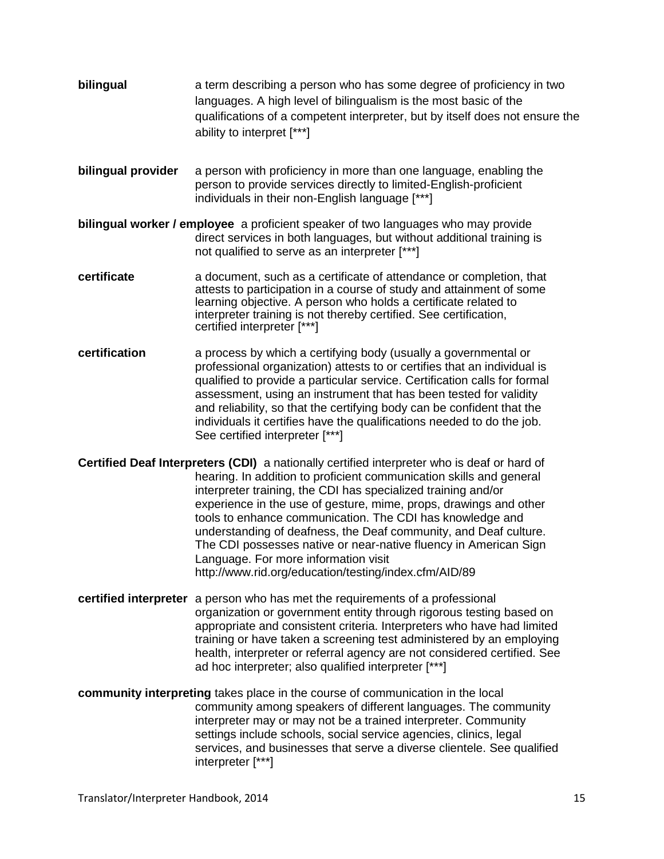- **bilingual** a term describing a person who has some degree of proficiency in two languages. A high level of bilingualism is the most basic of the qualifications of a competent interpreter, but by itself does not ensure the ability to interpret [\*\*\*]
- **bilingual provider** a person with proficiency in more than one language, enabling the person to provide services directly to limited-English-proficient individuals in their non-English language [\*\*\*]
- **bilingual worker / employee** a proficient speaker of two languages who may provide direct services in both languages, but without additional training is not qualified to serve as an interpreter [\*\*\*]
- **certificate** a document, such as a certificate of attendance or completion, that attests to participation in a course of study and attainment of some learning objective. A person who holds a certificate related to interpreter training is not thereby certified. See certification, certified interpreter [\*\*\*]
- **certification** a process by which a certifying body (usually a governmental or professional organization) attests to or certifies that an individual is qualified to provide a particular service. Certification calls for formal assessment, using an instrument that has been tested for validity and reliability, so that the certifying body can be confident that the individuals it certifies have the qualifications needed to do the job. See certified interpreter [\*\*\*]
- **Certified Deaf Interpreters (CDI)** a nationally certified interpreter who is deaf or hard of hearing. In addition to proficient communication skills and general interpreter training, the CDI has specialized training and/or experience in the use of gesture, mime, props, drawings and other tools to enhance communication. The CDI has knowledge and understanding of deafness, the Deaf community, and Deaf culture. The CDI possesses native or near-native fluency in American Sign Language. For more information visit http://www.rid.org/education/testing/index.cfm/AID/89
- **certified interpreter** a person who has met the requirements of a professional organization or government entity through rigorous testing based on appropriate and consistent criteria. Interpreters who have had limited training or have taken a screening test administered by an employing health, interpreter or referral agency are not considered certified. See ad hoc interpreter; also qualified interpreter [\*\*\*]
- **community interpreting** takes place in the course of communication in the local community among speakers of different languages. The community interpreter may or may not be a trained interpreter. Community settings include schools, social service agencies, clinics, legal services, and businesses that serve a diverse clientele. See qualified interpreter [\*\*\*]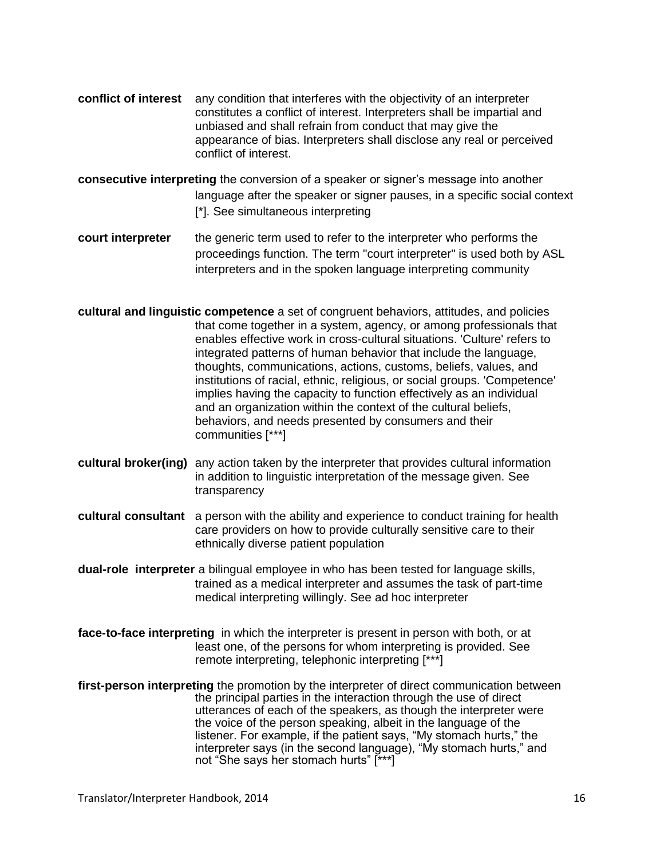- **conflict of interest** any condition that interferes with the objectivity of an interpreter constitutes a conflict of interest. Interpreters shall be impartial and unbiased and shall refrain from conduct that may give the appearance of bias. Interpreters shall disclose any real or perceived conflict of interest.
- **consecutive interpreting** the conversion of a speaker or signer's message into another language after the speaker or signer pauses, in a specific social context [\*]. See simultaneous interpreting
- **court interpreter** the generic term used to refer to the interpreter who performs the proceedings function. The term "court interpreter" is used both by ASL interpreters and in the spoken language interpreting community
- **cultural and linguistic competence** a set of congruent behaviors, attitudes, and policies that come together in a system, agency, or among professionals that enables effective work in cross-cultural situations. 'Culture' refers to integrated patterns of human behavior that include the language, thoughts, communications, actions, customs, beliefs, values, and institutions of racial, ethnic, religious, or social groups. 'Competence' implies having the capacity to function effectively as an individual and an organization within the context of the cultural beliefs, behaviors, and needs presented by consumers and their communities [\*\*\*]
- **cultural broker(ing)** any action taken by the interpreter that provides cultural information in addition to linguistic interpretation of the message given. See transparency
- **cultural consultant** a person with the ability and experience to conduct training for health care providers on how to provide culturally sensitive care to their ethnically diverse patient population
- **dual-role interpreter** a bilingual employee in who has been tested for language skills, trained as a medical interpreter and assumes the task of part-time medical interpreting willingly. See ad hoc interpreter
- **face-to-face interpreting** in which the interpreter is present in person with both, or at least one, of the persons for whom interpreting is provided. See remote interpreting, telephonic interpreting [\*\*\*]
- **first-person interpreting** the promotion by the interpreter of direct communication between the principal parties in the interaction through the use of direct utterances of each of the speakers, as though the interpreter were the voice of the person speaking, albeit in the language of the listener. For example, if the patient says, "My stomach hurts," the interpreter says (in the second language), "My stomach hurts," and not "She says her stomach hurts" [\*\*\*]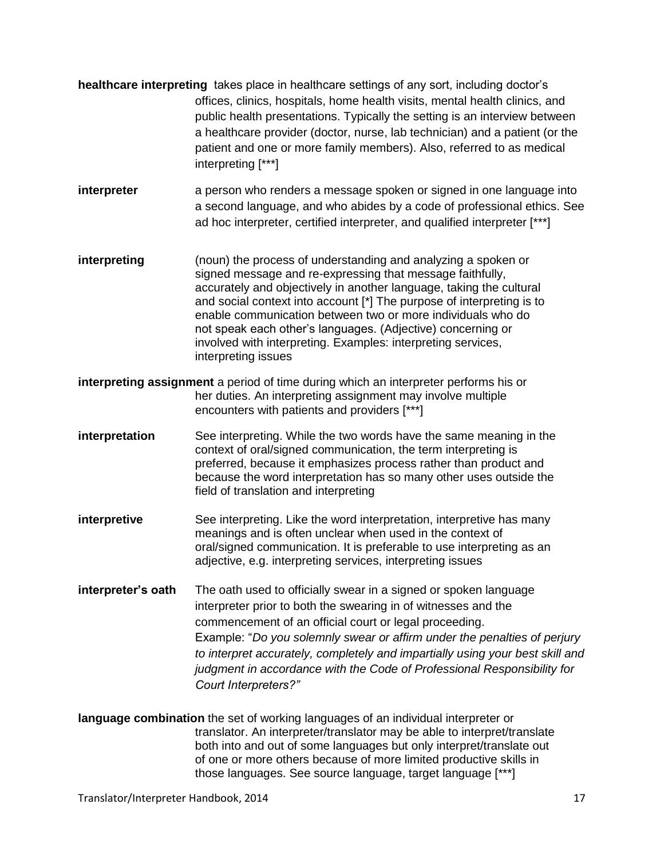- **healthcare interpreting** takes place in healthcare settings of any sort, including doctor's offices, clinics, hospitals, home health visits, mental health clinics, and public health presentations. Typically the setting is an interview between a healthcare provider (doctor, nurse, lab technician) and a patient (or the patient and one or more family members). Also, referred to as medical interpreting [\*\*\*]
- **interpreter** a person who renders a message spoken or signed in one language into a second language, and who abides by a code of professional ethics. See ad hoc interpreter, certified interpreter, and qualified interpreter [\*\*\*]
- **interpreting** (noun) the process of understanding and analyzing a spoken or signed message and re-expressing that message faithfully, accurately and objectively in another language, taking the cultural and social context into account [\*] The purpose of interpreting is to enable communication between two or more individuals who do not speak each other's languages. (Adjective) concerning or involved with interpreting. Examples: interpreting services, interpreting issues
- **interpreting assignment** a period of time during which an interpreter performs his or her duties. An interpreting assignment may involve multiple encounters with patients and providers [\*\*\*]
- **interpretation** See interpreting. While the two words have the same meaning in the context of oral/signed communication, the term interpreting is preferred, because it emphasizes process rather than product and because the word interpretation has so many other uses outside the field of translation and interpreting
- **interpretive** See interpreting. Like the word interpretation, interpretive has many meanings and is often unclear when used in the context of oral/signed communication. It is preferable to use interpreting as an adjective, e.g. interpreting services, interpreting issues
- **interpreter's oath** The oath used to officially swear in a signed or spoken language interpreter prior to both the swearing in of witnesses and the commencement of an official court or legal proceeding. Example: "*Do you solemnly swear or affirm under the penalties of perjury to interpret accurately, completely and impartially using your best skill and judgment in accordance with the Code of Professional Responsibility for Court Interpreters?"*
- **language combination** the set of working languages of an individual interpreter or translator. An interpreter/translator may be able to interpret/translate both into and out of some languages but only interpret/translate out of one or more others because of more limited productive skills in those languages. See source language, target language [\*\*\*]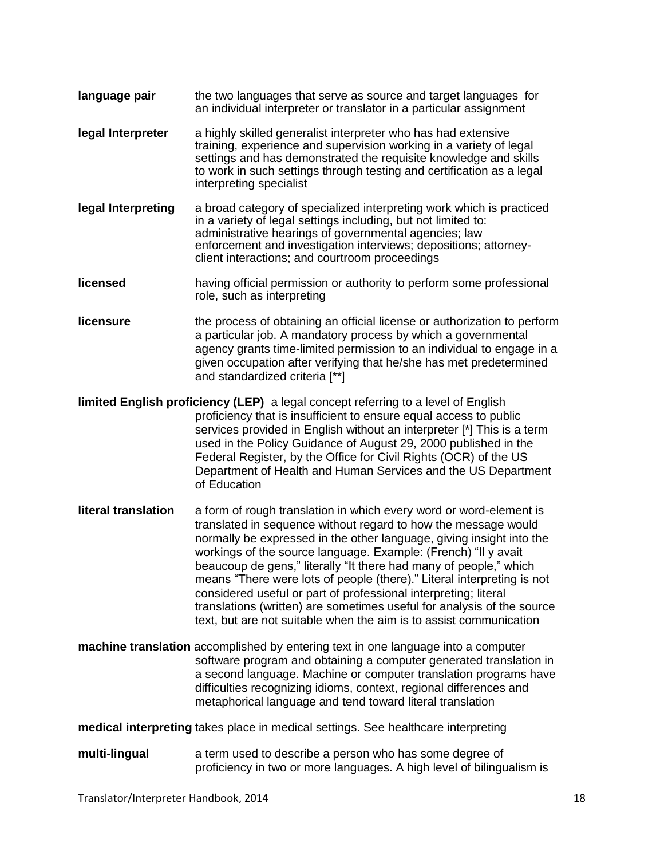- **language pair** the two languages that serve as source and target languages for an individual interpreter or translator in a particular assignment
- **legal Interpreter** a highly skilled generalist interpreter who has had extensive training, experience and supervision working in a variety of legal settings and has demonstrated the requisite knowledge and skills to work in such settings through testing and certification as a legal interpreting specialist
- **legal Interpreting** a broad category of specialized interpreting work which is practiced in a variety of legal settings including, but not limited to: administrative hearings of governmental agencies; law enforcement and investigation interviews; depositions; attorneyclient interactions; and courtroom proceedings
- **licensed** having official permission or authority to perform some professional role, such as interpreting
- **licensure** the process of obtaining an official license or authorization to perform a particular job. A mandatory process by which a governmental agency grants time-limited permission to an individual to engage in a given occupation after verifying that he/she has met predetermined and standardized criteria [\*\*]
- **limited English proficiency (LEP)** a legal concept referring to a level of English proficiency that is insufficient to ensure equal access to public services provided in English without an interpreter [\*] This is a term used in the Policy Guidance of August 29, 2000 published in the Federal Register, by the Office for Civil Rights (OCR) of the US Department of Health and Human Services and the US Department of Education
- **literal translation** a form of rough translation in which every word or word-element is translated in sequence without regard to how the message would normally be expressed in the other language, giving insight into the workings of the source language. Example: (French) "Il y avait beaucoup de gens," literally "It there had many of people," which means "There were lots of people (there)." Literal interpreting is not considered useful or part of professional interpreting; literal translations (written) are sometimes useful for analysis of the source text, but are not suitable when the aim is to assist communication
- **machine translation** accomplished by entering text in one language into a computer software program and obtaining a computer generated translation in a second language. Machine or computer translation programs have difficulties recognizing idioms, context, regional differences and metaphorical language and tend toward literal translation

**medical interpreting** takes place in medical settings. See healthcare interpreting

**multi-lingual** a term used to describe a person who has some degree of proficiency in two or more languages. A high level of bilingualism is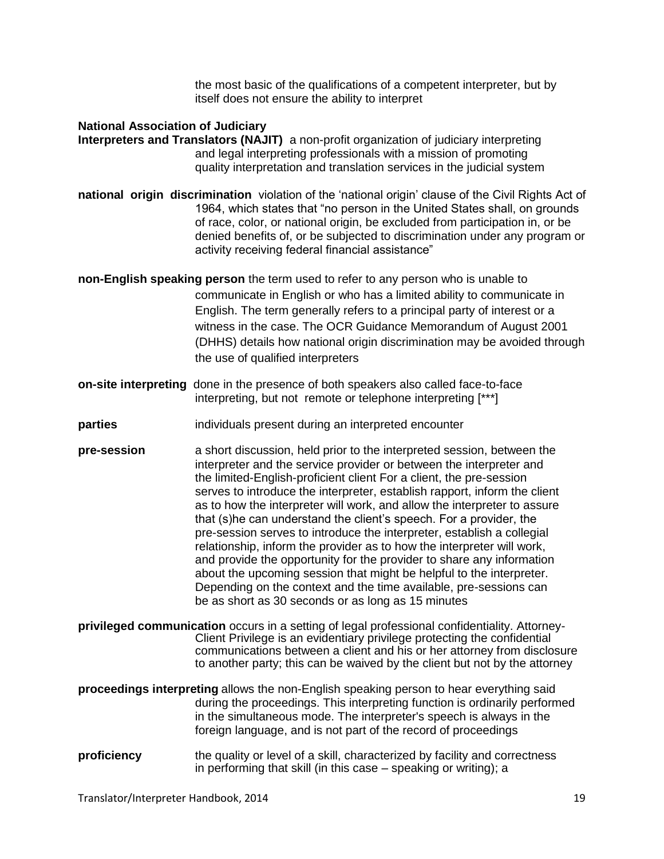the most basic of the qualifications of a competent interpreter, but by itself does not ensure the ability to interpret

#### **National Association of Judiciary Interpreters and Translators (NAJIT)** a non-profit organization of judiciary interpreting and legal interpreting professionals with a mission of promoting

quality interpretation and translation services in the judicial system **national origin discrimination** violation of the 'national origin' clause of the Civil Rights Act of 1964, which states that "no person in the United States shall, on grounds of race, color, or national origin, be excluded from participation in, or be denied benefits of, or be subjected to discrimination under any program or

activity receiving federal financial assistance"

**non-English speaking person** the term used to refer to any person who is unable to communicate in English or who has a limited ability to communicate in English. The term generally refers to a principal party of interest or a witness in the case. The OCR Guidance Memorandum of August 2001 (DHHS) details how national origin discrimination may be avoided through the use of qualified interpreters

- **on-site interpreting** done in the presence of both speakers also called face-to-face interpreting, but not remote or telephone interpreting [\*\*\*]
- **parties individuals present during an interpreted encounter**
- **pre-session** a short discussion, held prior to the interpreted session, between the interpreter and the service provider or between the interpreter and the limited-English-proficient client For a client, the pre-session serves to introduce the interpreter, establish rapport, inform the client as to how the interpreter will work, and allow the interpreter to assure that (s)he can understand the client's speech. For a provider, the pre-session serves to introduce the interpreter, establish a collegial relationship, inform the provider as to how the interpreter will work, and provide the opportunity for the provider to share any information about the upcoming session that might be helpful to the interpreter. Depending on the context and the time available, pre-sessions can be as short as 30 seconds or as long as 15 minutes
- **privileged communication** occurs in a setting of legal professional confidentiality. Attorney-Client Privilege is an evidentiary privilege protecting the confidential communications between a client and his or her attorney from disclosure to another party; this can be waived by the client but not by the attorney
- **proceedings interpreting** allows the non-English speaking person to hear everything said during the proceedings. This interpreting function is ordinarily performed in the simultaneous mode. The interpreter's speech is always in the foreign language, and is not part of the record of proceedings
- **proficiency** the quality or level of a skill, characterized by facility and correctness in performing that skill (in this case – speaking or writing); a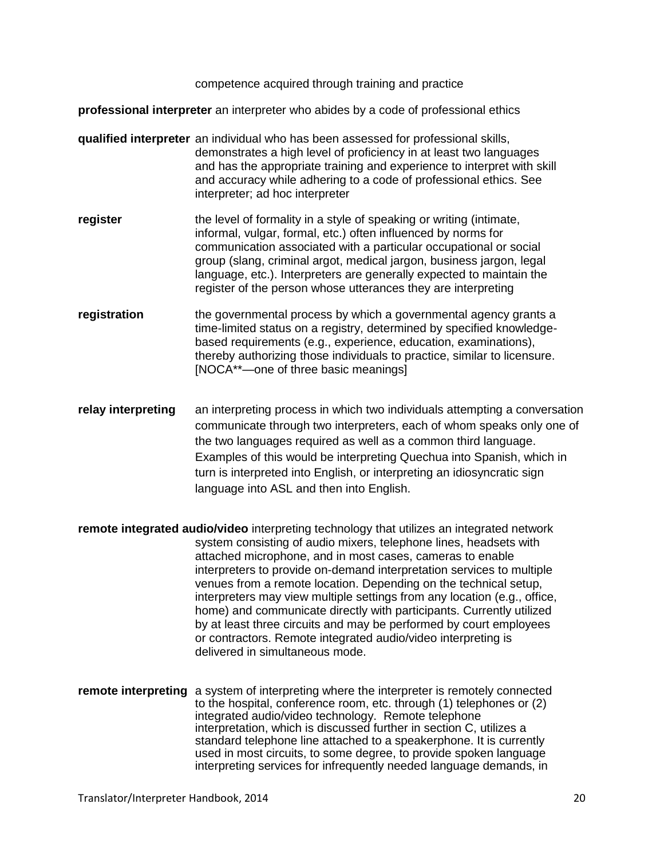competence acquired through training and practice

**professional interpreter** an interpreter who abides by a code of professional ethics

- **qualified interpreter** an individual who has been assessed for professional skills, demonstrates a high level of proficiency in at least two languages and has the appropriate training and experience to interpret with skill and accuracy while adhering to a code of professional ethics. See interpreter; ad hoc interpreter
- **register the level of formality in a style of speaking or writing (intimate,** informal, vulgar, formal, etc.) often influenced by norms for communication associated with a particular occupational or social group (slang, criminal argot, medical jargon, business jargon, legal language, etc.). Interpreters are generally expected to maintain the register of the person whose utterances they are interpreting
- **registration** the governmental process by which a governmental agency grants a time-limited status on a registry, determined by specified knowledgebased requirements (e.g., experience, education, examinations), thereby authorizing those individuals to practice, similar to licensure. [NOCA\*\*—one of three basic meanings]
- **relay interpreting** an interpreting process in which two individuals attempting a conversation communicate through two interpreters, each of whom speaks only one of the two languages required as well as a common third language. Examples of this would be interpreting Quechua into Spanish, which in turn is interpreted into English, or interpreting an idiosyncratic sign language into ASL and then into English.
- **remote integrated audio/video** interpreting technology that utilizes an integrated network system consisting of audio mixers, telephone lines, headsets with attached microphone, and in most cases, cameras to enable interpreters to provide on-demand interpretation services to multiple venues from a remote location. Depending on the technical setup, interpreters may view multiple settings from any location (e.g., office, home) and communicate directly with participants. Currently utilized by at least three circuits and may be performed by court employees or contractors. Remote integrated audio/video interpreting is delivered in simultaneous mode.
- **remote interpreting** a system of interpreting where the interpreter is remotely connected to the hospital, conference room, etc. through (1) telephones or (2) integrated audio/video technology. Remote telephone interpretation, which is discussed further in section C, utilizes a standard telephone line attached to a speakerphone. It is currently used in most circuits, to some degree, to provide spoken language interpreting services for infrequently needed language demands, in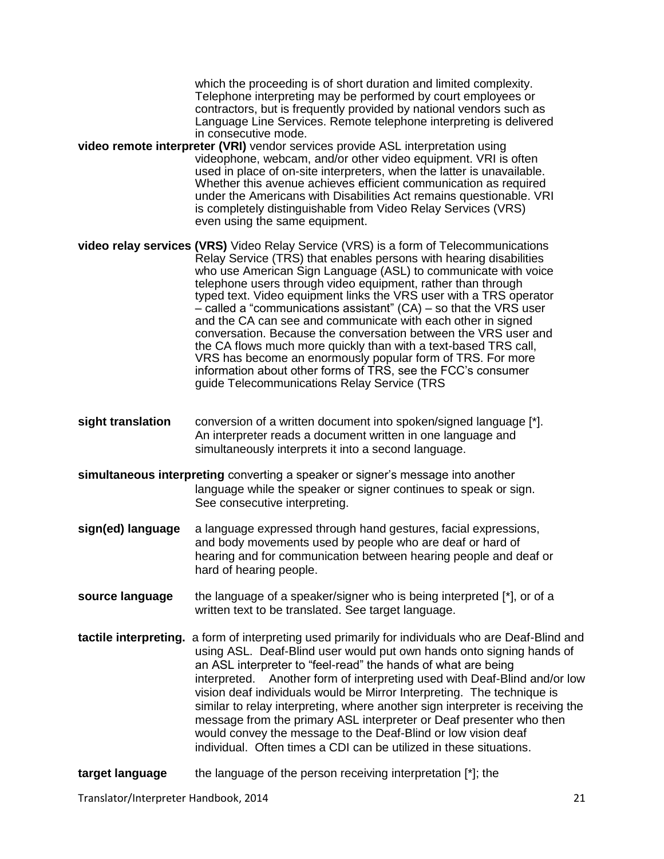which the proceeding is of short duration and limited complexity. Telephone interpreting may be performed by court employees or contractors, but is frequently provided by national vendors such as Language Line Services. Remote telephone interpreting is delivered in consecutive mode.

**video remote interpreter (VRI)** vendor services provide ASL interpretation using videophone, webcam, and/or other video equipment. VRI is often used in place of on-site interpreters, when the latter is unavailable. Whether this avenue achieves efficient communication as required under the Americans with Disabilities Act remains questionable. VRI is completely distinguishable from Video Relay Services (VRS) even using the same equipment.

**video relay services (VRS)** Video Relay Service (VRS) is a form of Telecommunications Relay Service (TRS) that enables persons with hearing disabilities who use American Sign Language (ASL) to communicate with voice telephone users through video equipment, rather than through typed text. Video equipment links the VRS user with a TRS operator  $-$  called a "communications assistant" (CA) – so that the VRS user and the CA can see and communicate with each other in signed conversation. Because the conversation between the VRS user and the CA flows much more quickly than with a text-based TRS call, VRS has become an enormously popular form of TRS. For more information about other forms of TRS, see the FCC's consumer guide [Telecommunications Relay Service \(TRS](http://www.fcc.gov/guides/telecommunications-relay-service-trs)

- **sight translation** conversion of a written document into spoken/signed language [\*]. An interpreter reads a document written in one language and simultaneously interprets it into a second language.
- **simultaneous interpreting** converting a speaker or signer's message into another language while the speaker or signer continues to speak or sign. See consecutive interpreting.
- **sign(ed) language** a language expressed through hand gestures, facial expressions, and body movements used by people who are deaf or hard of hearing and for communication between hearing people and deaf or hard of hearing people.
- **source language** the language of a speaker/signer who is being interpreted [\*], or of a written text to be translated. See target language.
- **tactile interpreting.** a form of interpreting used primarily for individuals who are Deaf-Blind and using ASL. Deaf-Blind user would put own hands onto signing hands of an ASL interpreter to "feel-read" the hands of what are being interpreted. Another form of interpreting used with Deaf-Blind and/or low vision deaf individuals would be Mirror Interpreting. The technique is similar to relay interpreting, where another sign interpreter is receiving the message from the primary ASL interpreter or Deaf presenter who then would convey the message to the Deaf-Blind or low vision deaf individual. Often times a CDI can be utilized in these situations.
- **target language** the language of the person receiving interpretation [\*]; the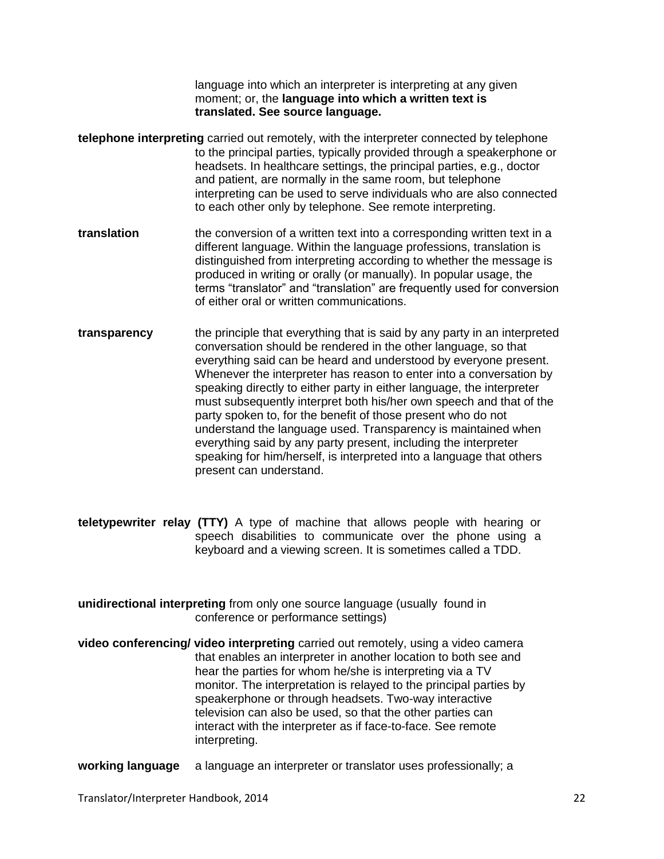language into which an interpreter is interpreting at any given moment; or, the **language into which a written text is translated. See source language.**

- **telephone interpreting** carried out remotely, with the interpreter connected by telephone to the principal parties, typically provided through a speakerphone or headsets. In healthcare settings, the principal parties, e.g., doctor and patient, are normally in the same room, but telephone interpreting can be used to serve individuals who are also connected to each other only by telephone. See remote interpreting.
- **translation** the conversion of a written text into a corresponding written text in a different language. Within the language professions, translation is distinguished from interpreting according to whether the message is produced in writing or orally (or manually). In popular usage, the terms "translator" and "translation" are frequently used for conversion of either oral or written communications.
- **transparency** the principle that everything that is said by any party in an interpreted conversation should be rendered in the other language, so that everything said can be heard and understood by everyone present. Whenever the interpreter has reason to enter into a conversation by speaking directly to either party in either language, the interpreter must subsequently interpret both his/her own speech and that of the party spoken to, for the benefit of those present who do not understand the language used. Transparency is maintained when everything said by any party present, including the interpreter speaking for him/herself, is interpreted into a language that others present can understand.
- **teletypewriter relay (TTY)** A type of machine that allows people with hearing or speech disabilities to communicate over the phone using a keyboard and a viewing screen. It is sometimes called a TDD.
- **unidirectional interpreting** from only one source language (usually found in conference or performance settings)
- **video conferencing/ video interpreting** carried out remotely, using a video camera that enables an interpreter in another location to both see and hear the parties for whom he/she is interpreting via a TV monitor. The interpretation is relayed to the principal parties by speakerphone or through headsets. Two-way interactive television can also be used, so that the other parties can interact with the interpreter as if face-to-face. See remote interpreting.
- **working language** a language an interpreter or translator uses professionally; a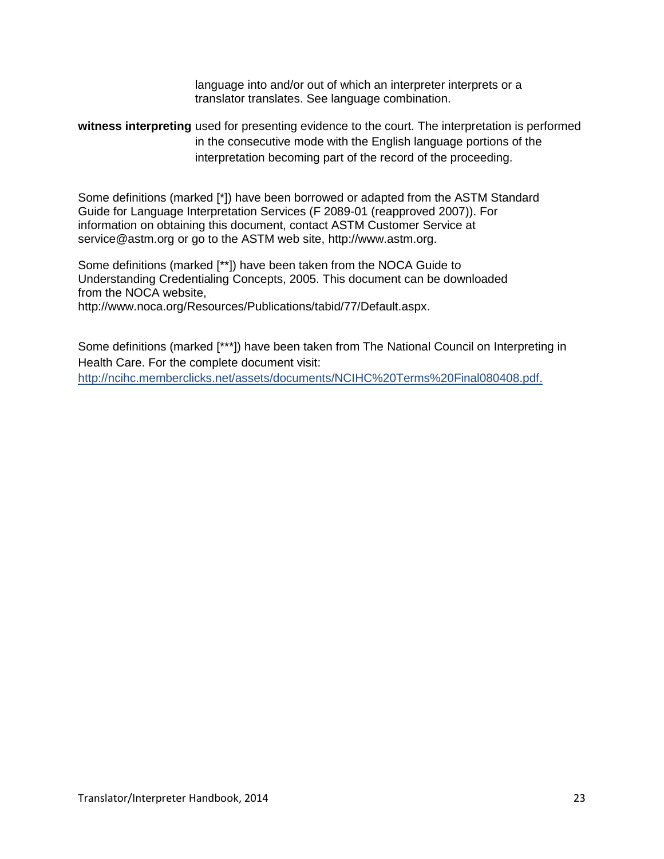language into and/or out of which an interpreter interprets or a translator translates. See language combination.

### **witness interpreting** used for presenting evidence to the court. The interpretation is performed in the consecutive mode with the English language portions of the interpretation becoming part of the record of the proceeding.

Some definitions (marked [\*]) have been borrowed or adapted from the ASTM Standard Guide for Language Interpretation Services (F 2089-01 (reapproved 2007)). For information on obtaining this document, contact ASTM Customer Service at [service@astm.org o](mailto:service@astm.org)r go to the ASTM web site, [http://www.astm.org.](http://www.astm.org/)

Some definitions (marked [\*\*]) have been taken from the NOCA Guide to Understanding Credentialing Concepts, 2005. This document can be downloaded from the NOCA website,

[http://www.noca.org/Resources/Publications/tabid/77/Default.aspx.](http://www.noca.org/Resources/Publications/tabid/77/Default.aspx)

Some definitions (marked [\*\*\*]) have been taken from The National Council on Interpreting in Health Care. For the complete document visit: http://ncihc.memberclicks.net/assets/documents/NCIHC%20Terms%20Final080408.pdf.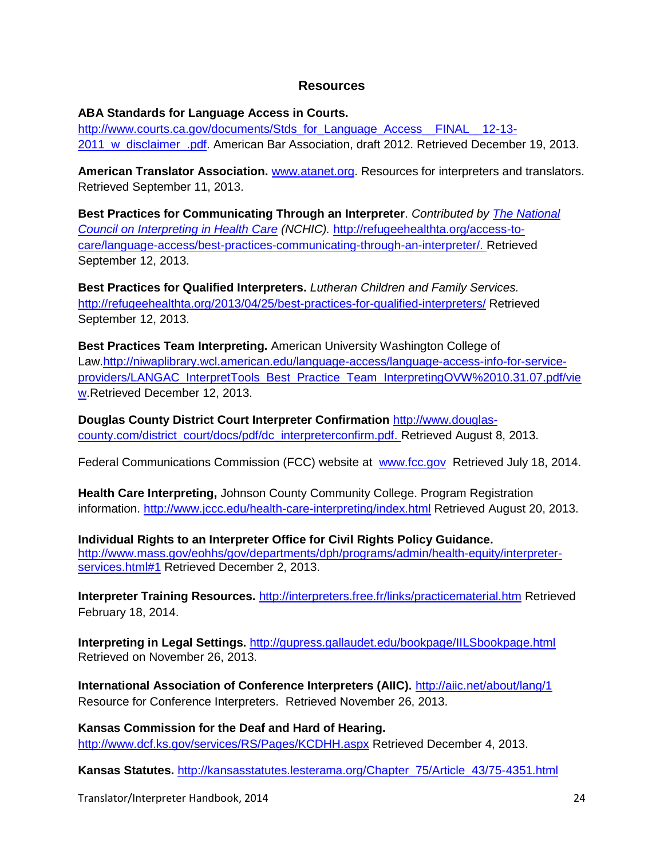#### **Resources**

**ABA Standards for Language Access in Courts.** 

[http://www.courts.ca.gov/documents/Stds\\_for\\_Language\\_Access\\_\\_FINAL\\_\\_12-13-](http://www.courts.ca.gov/documents/Stds_for_Language_Access__FINAL__12-13-2011_w_disclaimer_.pdf) [2011\\_w\\_disclaimer\\_.pdf.](http://www.courts.ca.gov/documents/Stds_for_Language_Access__FINAL__12-13-2011_w_disclaimer_.pdf) American Bar Association, draft 2012. Retrieved December 19, 2013.

**American Translator Association.** [www.atanet.org.](http://www.atanet.org/) Resources for interpreters and translators. Retrieved September 11, 2013.

**Best Practices for Communicating Through an Interpreter**. *Contributed by [The National](http://www.refugeehealthta.org/about-us/contributors/#ncihc)  [Council on Interpreting in Health Care](http://www.refugeehealthta.org/about-us/contributors/#ncihc) (NCHIC).* [http://refugeehealthta.org/access-to](http://refugeehealthta.org/access-to-care/language-access/best-practices-communicating-through-an-interpreter/)[care/language-access/best-practices-communicating-through-an-interpreter/. R](http://refugeehealthta.org/access-to-care/language-access/best-practices-communicating-through-an-interpreter/)etrieved September 12, 2013.

**Best Practices for Qualified Interpreters.** *Lutheran Children and Family Services.* <http://refugeehealthta.org/2013/04/25/best-practices-for-qualified-interpreters/> Retrieved September 12, 2013.

**Best Practices Team Interpreting.** American University Washington College of Law[.http://niwaplibrary.wcl.american.edu/language-access/language-access-info-for-service](http://niwaplibrary.wcl.american.edu/language-access/language-access-info-for-service-providers/LANGAC_InterpretTools_Best_Practice_Team_InterpretingOVW%2010.31.07.pdf/view)[providers/LANGAC\\_InterpretTools\\_Best\\_Practice\\_Team\\_InterpretingOVW%2010.31.07.pdf/vie](http://niwaplibrary.wcl.american.edu/language-access/language-access-info-for-service-providers/LANGAC_InterpretTools_Best_Practice_Team_InterpretingOVW%2010.31.07.pdf/view) [w.](http://niwaplibrary.wcl.american.edu/language-access/language-access-info-for-service-providers/LANGAC_InterpretTools_Best_Practice_Team_InterpretingOVW%2010.31.07.pdf/view)Retrieved December 12, 2013.

**Douglas County District Court Interpreter Confirmation** [http://www.douglas](http://www.douglas-county.com/district_court/docs/pdf/dc_interpreterconfirm.pdf)[county.com/district\\_court/docs/pdf/dc\\_interpreterconfirm.pdf.](http://www.douglas-county.com/district_court/docs/pdf/dc_interpreterconfirm.pdf) Retrieved August 8, 2013.

Federal Communications Commission (FCC) website at [www.fcc.gov](http://www.fcc.gov/) Retrieved July 18, 2014.

**Health Care Interpreting,** Johnson County Community College. Program Registration information.<http://www.jccc.edu/health-care-interpreting/index.html> Retrieved August 20, 2013.

**Individual Rights to an Interpreter Office for Civil Rights Policy Guidance.**  [http://www.mass.gov/eohhs/gov/departments/dph/programs/admin/health-equity/interpreter](http://www.mass.gov/eohhs/gov/departments/dph/programs/admin/health-equity/interpreter-services.html#1)[services.html#1](http://www.mass.gov/eohhs/gov/departments/dph/programs/admin/health-equity/interpreter-services.html#1) Retrieved December 2, 2013.

**Interpreter Training Resources.** <http://interpreters.free.fr/links/practicematerial.htm> Retrieved February 18, 2014.

**Interpreting in Legal Settings.** <http://gupress.gallaudet.edu/bookpage/IILSbookpage.html> Retrieved on November 26, 2013.

**International Association of Conference Interpreters (AIIC).** <http://aiic.net/about/lang/1> Resource for Conference Interpreters. Retrieved November 26, 2013.

**Kansas Commission for the Deaf and Hard of Hearing.**  <http://www.dcf.ks.gov/services/RS/Pages/KCDHH.aspx> Retrieved December 4, 2013.

**Kansas Statutes.** [http://kansasstatutes.lesterama.org/Chapter\\_75/Article\\_43/75-4351.html](http://kansasstatutes.lesterama.org/Chapter_75/Article_43/75-4351.html)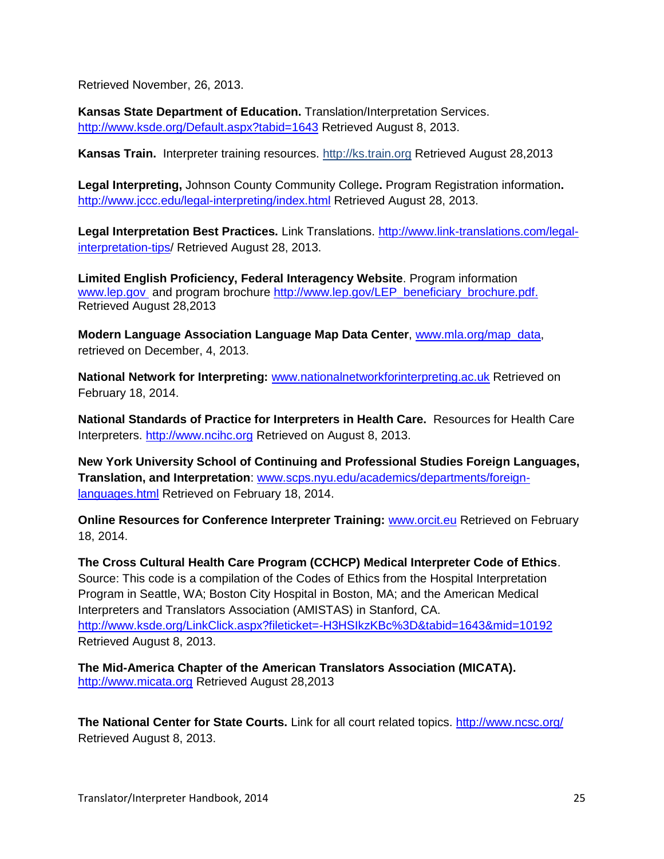Retrieved November, 26, 2013.

**Kansas State Department of Education.** Translation/Interpretation Services. <http://www.ksde.org/Default.aspx?tabid=1643> Retrieved August 8, 2013.

**Kansas Train.** Interpreter training resources. [http://ks.train.org](https://ks.train.org/DesktopShell.aspx) Retrieved August 28,2013

**Legal Interpreting,** Johnson County Community College**.** Program Registration information**.**  <http://www.jccc.edu/legal-interpreting/index.html> Retrieved August 28, 2013.

**Legal Interpretation Best Practices.** Link Translations. [http://www.link-translations.com/legal](http://www.link-translations.com/legal-interpretation-tips)[interpretation-tips/](http://www.link-translations.com/legal-interpretation-tips) Retrieved August 28, 2013.

**Limited English Proficiency, Federal Interagency Website**. Program information [www.lep.gov](http://www.lep.gov/) and program brochure [http://www.lep.gov/LEP\\_beneficiary\\_brochure.pdf.](http://www.lep.gov/LEP_beneficiary_brochure.pdf) Retrieved August 28,2013

**Modern Language Association Language Map Data Center**, [www.mla.org/map\\_data,](http://www.mla.org/map_data) retrieved on December, 4, 2013.

**National Network for Interpreting:** [www.nationalnetworkforinterpreting.ac.uk](http://www.nationalnetworkforinterpreting.ac.uk/) Retrieved on February 18, 2014.

**National Standards of Practice for Interpreters in Health Care.** Resources for Health Care Interpreters. [http://www.ncihc.org](http://www.ncihc.org/) Retrieved on August 8, 2013.

**New York University School of Continuing and Professional Studies Foreign Languages, Translation, and Interpretation**: [www.scps.nyu.edu/academics/departments/foreign](http://www.scps.nyu.edu/academics/departments/foreign-languages.html)[languages.html](http://www.scps.nyu.edu/academics/departments/foreign-languages.html) Retrieved on February 18, 2014.

**Online Resources for Conference Interpreter Training:** [www.orcit.eu](http://www.orcit.eu/) Retrieved on February 18, 2014.

**The Cross Cultural Health Care Program (CCHCP) Medical Interpreter Code of Ethics**. Source: This code is a compilation of the Codes of Ethics from the Hospital Interpretation Program in Seattle, WA; Boston City Hospital in Boston, MA; and the American Medical Interpreters and Translators Association (AMISTAS) in Stanford, CA. <http://www.ksde.org/LinkClick.aspx?fileticket=-H3HSIkzKBc%3D&tabid=1643&mid=10192> Retrieved August 8, 2013.

**The Mid-America Chapter of the American Translators Association (MICATA).**  [http://www.micata.org](http://www.micata.org/) Retrieved August 28,2013

**The National Center for State Courts.** Link for all court related topics.<http://www.ncsc.org/> Retrieved August 8, 2013.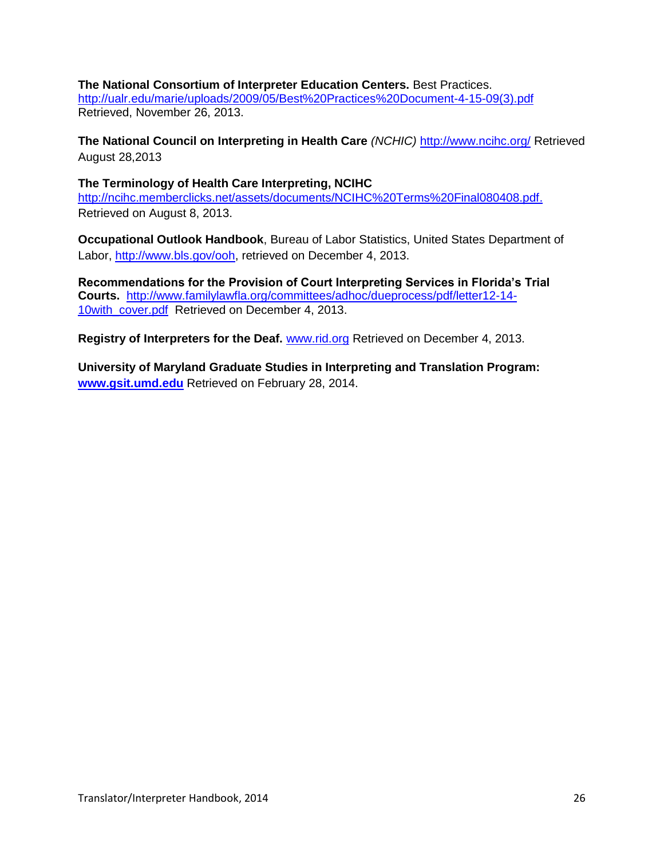#### **The National Consortium of Interpreter Education Centers.** Best Practices.

[http://ualr.edu/marie/uploads/2009/05/Best%20Practices%20Document-4-15-09\(3\).pdf](http://ualr.edu/marie/uploads/2009/05/Best%20Practices%20Document-4-15-09%283%29.pdf) Retrieved, November 26, 2013.

**[The National Council on Interpreting in Health Care](http://www.refugeehealthta.org/about-us/contributors/#ncihc)** *(NCHIC)* <http://www.ncihc.org/> Retrieved August 28,2013

**The Terminology of Health Care Interpreting, NCIHC**  [http://ncihc.memberclicks.net/assets/documents/NCIHC%20Terms%20Final080408.pdf.](http://ncihc.memberclicks.net/assets/documents/NCIHC%20Terms%20Final080408.pdf) Retrieved on August 8, 2013.

**Occupational Outlook Handbook**, Bureau of Labor Statistics, United States Department of Labor, [http://www.bls.gov/ooh,](http://www.bls.gov/ooh) retrieved on December 4, 2013.

**Recommendations for the Provision of Court Interpreting Services in Florida's Trial Courts.** [http://www.familylawfla.org/committees/adhoc/dueprocess/pdf/letter12-14-](http://www.familylawfla.org/committees/adhoc/dueprocess/pdf/letter12-14-10with_cover.pdf) [10with\\_cover.pdf](http://www.familylawfla.org/committees/adhoc/dueprocess/pdf/letter12-14-10with_cover.pdf) Retrieved on December 4, 2013.

**Registry of Interpreters for the Deaf.** [www.rid.org](http://www.rid.org/) Retrieved on December 4, 2013.

**University of Maryland Graduate Studies in Interpreting and Translation Program: [www.gsit.umd.edu](http://www.gsit.umd.edu/)** Retrieved on February 28, 2014.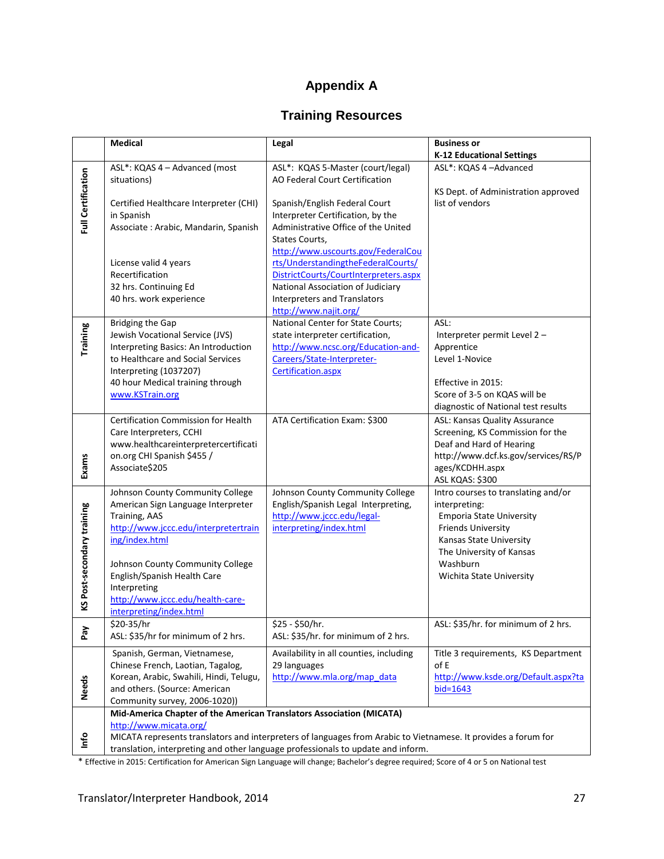# **Appendix A**

# **Training Resources**

|                            | <b>Medical</b>                                                                                                                                                                                                               | Legal                                                                      | <b>Business or</b>                                   |
|----------------------------|------------------------------------------------------------------------------------------------------------------------------------------------------------------------------------------------------------------------------|----------------------------------------------------------------------------|------------------------------------------------------|
|                            |                                                                                                                                                                                                                              |                                                                            | <b>K-12 Educational Settings</b>                     |
|                            | ASL*: KQAS 4 - Advanced (most                                                                                                                                                                                                | ASL*: KQAS 5-Master (court/legal)                                          | ASL*: KQAS 4-Advanced                                |
| <b>Full Certification</b>  | situations)                                                                                                                                                                                                                  | AO Federal Court Certification                                             |                                                      |
|                            |                                                                                                                                                                                                                              |                                                                            | KS Dept. of Administration approved                  |
|                            | Certified Healthcare Interpreter (CHI)                                                                                                                                                                                       | Spanish/English Federal Court                                              | list of vendors                                      |
|                            | in Spanish                                                                                                                                                                                                                   | Interpreter Certification, by the                                          |                                                      |
|                            | Associate: Arabic, Mandarin, Spanish                                                                                                                                                                                         | Administrative Office of the United                                        |                                                      |
|                            |                                                                                                                                                                                                                              | States Courts,                                                             |                                                      |
|                            |                                                                                                                                                                                                                              | http://www.uscourts.gov/FederalCou                                         |                                                      |
|                            | License valid 4 years                                                                                                                                                                                                        | rts/UnderstandingtheFederalCourts/                                         |                                                      |
|                            | Recertification<br>32 hrs. Continuing Ed                                                                                                                                                                                     | DistrictCourts/CourtInterpreters.aspx<br>National Association of Judiciary |                                                      |
|                            | 40 hrs. work experience                                                                                                                                                                                                      | Interpreters and Translators                                               |                                                      |
|                            |                                                                                                                                                                                                                              | http://www.najit.org/                                                      |                                                      |
|                            | <b>Bridging the Gap</b>                                                                                                                                                                                                      | National Center for State Courts;                                          | ASL:                                                 |
| Training                   | Jewish Vocational Service (JVS)                                                                                                                                                                                              | state interpreter certification,                                           | Interpreter permit Level 2-                          |
|                            | Interpreting Basics: An Introduction                                                                                                                                                                                         | http://www.ncsc.org/Education-and-                                         | Apprentice                                           |
|                            | to Healthcare and Social Services                                                                                                                                                                                            | Careers/State-Interpreter-                                                 | Level 1-Novice                                       |
|                            | Interpreting (1037207)                                                                                                                                                                                                       | Certification.aspx                                                         |                                                      |
|                            | 40 hour Medical training through                                                                                                                                                                                             |                                                                            | Effective in 2015:                                   |
|                            | www.KSTrain.org                                                                                                                                                                                                              |                                                                            | Score of 3-5 on KQAS will be                         |
|                            |                                                                                                                                                                                                                              |                                                                            | diagnostic of National test results                  |
|                            | Certification Commission for Health                                                                                                                                                                                          | ATA Certification Exam: \$300                                              | ASL: Kansas Quality Assurance                        |
|                            | Care Interpreters, CCHI                                                                                                                                                                                                      |                                                                            | Screening, KS Commission for the                     |
|                            | www.healthcareinterpretercertificati                                                                                                                                                                                         |                                                                            | Deaf and Hard of Hearing                             |
|                            | on.org CHI Spanish \$455 /                                                                                                                                                                                                   |                                                                            | http://www.dcf.ks.gov/services/RS/P                  |
| Exams                      | Associate\$205                                                                                                                                                                                                               |                                                                            | ages/KCDHH.aspx                                      |
|                            |                                                                                                                                                                                                                              |                                                                            | ASL KQAS: \$300                                      |
|                            | Johnson County Community College                                                                                                                                                                                             | Johnson County Community College                                           | Intro courses to translating and/or                  |
|                            | American Sign Language Interpreter                                                                                                                                                                                           | English/Spanish Legal Interpreting,                                        | interpreting:                                        |
| KS Post-secondary training | Training, AAS                                                                                                                                                                                                                | http://www.jccc.edu/legal-                                                 | <b>Emporia State University</b>                      |
|                            | http://www.jccc.edu/interpretertrain<br>ing/index.html                                                                                                                                                                       | interpreting/index.html                                                    | <b>Friends University</b><br>Kansas State University |
|                            |                                                                                                                                                                                                                              |                                                                            | The University of Kansas                             |
|                            | Johnson County Community College                                                                                                                                                                                             |                                                                            | Washburn                                             |
|                            | English/Spanish Health Care                                                                                                                                                                                                  |                                                                            | Wichita State University                             |
|                            | Interpreting                                                                                                                                                                                                                 |                                                                            |                                                      |
|                            | http://www.jccc.edu/health-care-                                                                                                                                                                                             |                                                                            |                                                      |
|                            | interpreting/index.html                                                                                                                                                                                                      |                                                                            |                                                      |
|                            | $$20-35/hr$                                                                                                                                                                                                                  | \$25 - \$50/hr.                                                            | ASL: \$35/hr. for minimum of 2 hrs.                  |
| Pay                        | ASL: \$35/hr for minimum of 2 hrs.                                                                                                                                                                                           | ASL: \$35/hr. for minimum of 2 hrs.                                        |                                                      |
|                            | Spanish, German, Vietnamese,                                                                                                                                                                                                 | Availability in all counties, including                                    | Title 3 requirements, KS Department                  |
|                            | Chinese French, Laotian, Tagalog,                                                                                                                                                                                            | 29 languages                                                               | of E                                                 |
|                            | Korean, Arabic, Swahili, Hindi, Telugu,                                                                                                                                                                                      | http://www.mla.org/map_data                                                | http://www.ksde.org/Default.aspx?ta                  |
| <b>Needs</b>               | and others. (Source: American                                                                                                                                                                                                |                                                                            | $bid = 1643$                                         |
|                            | Community survey, 2006-1020))                                                                                                                                                                                                |                                                                            |                                                      |
|                            | Mid-America Chapter of the American Translators Association (MICATA)                                                                                                                                                         |                                                                            |                                                      |
|                            | http://www.micata.org/<br>MICATA represents translators and interpreters of languages from Arabic to Vietnamese. It provides a forum for<br>translation, interpreting and other language professionals to update and inform. |                                                                            |                                                      |
| Info                       |                                                                                                                                                                                                                              |                                                                            |                                                      |
|                            |                                                                                                                                                                                                                              |                                                                            |                                                      |

\* Effective in 2015: Certification for American Sign Language will change; Bachelor's degree required; Score of 4 or 5 on National test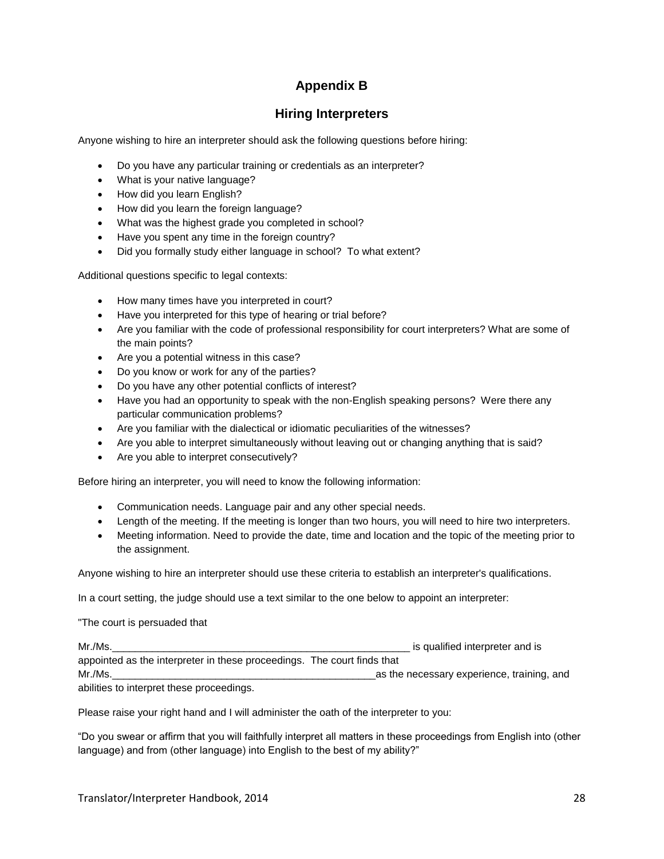# **Appendix B**

#### **Hiring Interpreters**

Anyone wishing to hire an interpreter should ask the following questions before hiring:

- Do you have any particular training or credentials as an interpreter?
- What is your native language?
- How did you learn English?
- How did you learn the foreign language?
- What was the highest grade you completed in school?
- Have you spent any time in the foreign country?
- Did you formally study either language in school? To what extent?

Additional questions specific to legal contexts:

- How many times have you interpreted in court?
- Have you interpreted for this type of hearing or trial before?
- Are you familiar with the code of professional responsibility for court interpreters? What are some of the main points?
- Are you a potential witness in this case?
- Do you know or work for any of the parties?
- Do you have any other potential conflicts of interest?
- Have you had an opportunity to speak with the non-English speaking persons? Were there any particular communication problems?
- Are you familiar with the dialectical or idiomatic peculiarities of the witnesses?
- Are you able to interpret simultaneously without leaving out or changing anything that is said?
- Are you able to interpret consecutively?

Before hiring an interpreter, you will need to know the following information:

- Communication needs. Language pair and any other special needs.
- Length of the meeting. If the meeting is longer than two hours, you will need to hire two interpreters.
- Meeting information. Need to provide the date, time and location and the topic of the meeting prior to the assignment.

Anyone wishing to hire an interpreter should use these criteria to establish an interpreter's qualifications.

In a court setting, the judge should use a text similar to the one below to appoint an interpreter:

"The court is persuaded that

| Mr./Ms.                                                                 | is qualified interpreter and is            |
|-------------------------------------------------------------------------|--------------------------------------------|
| appointed as the interpreter in these proceedings. The court finds that |                                            |
| Mr./Ms.                                                                 | as the necessary experience, training, and |
| abilities to interpret these proceedings.                               |                                            |

Please raise your right hand and I will administer the oath of the interpreter to you:

"Do you swear or affirm that you will faithfully interpret all matters in these proceedings from English into (other language) and from (other language) into English to the best of my ability?"